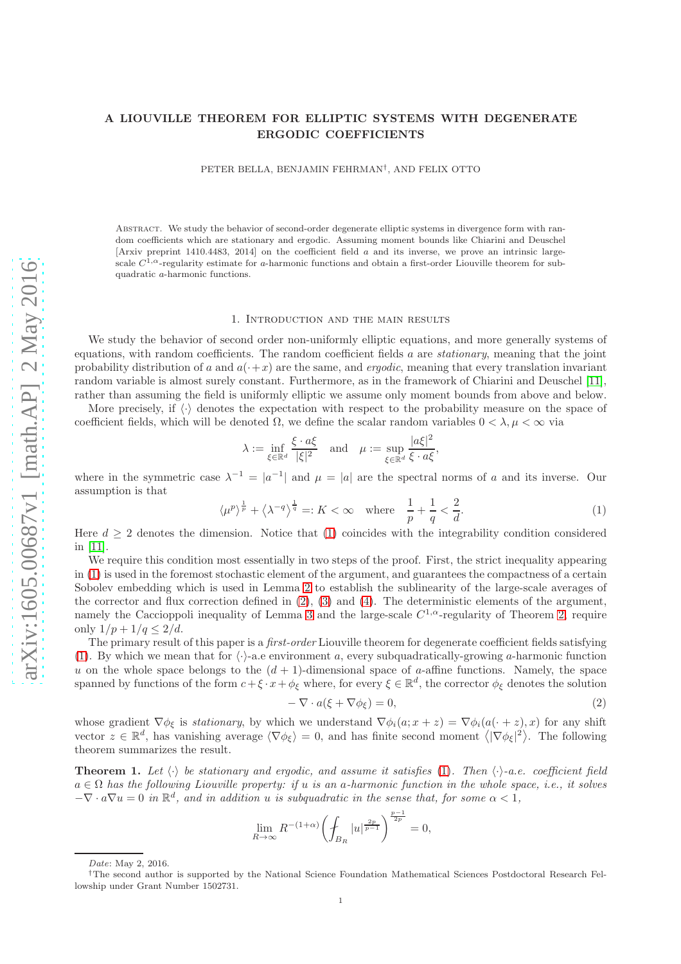# A LIOUVILLE THEOREM FOR ELLIPTIC SYSTEMS WITH DEGENERATE ERGODIC COEFFICIENTS

PETER BELLA, BENJAMIN FEHRMAN† , AND FELIX OTTO

Abstract. We study the behavior of second-order degenerate elliptic systems in divergence form with random coefficients which are stationary and ergodic. Assuming moment bounds like Chiarini and Deuschel [Arxiv preprint 1410.4483, 2014] on the coefficient field a and its inverse, we prove an intrinsic largescale  $C^{1,\alpha}$ -regularity estimate for a-harmonic functions and obtain a first-order Liouville theorem for subquadratic a-harmonic functions.

#### 1. Introduction and the main results

We study the behavior of second order non-uniformly elliptic equations, and more generally systems of equations, with random coefficients. The random coefficient fields  $a$  are *stationary*, meaning that the joint probability distribution of a and  $a(+x)$  are the same, and *ergodic*, meaning that every translation invariant random variable is almost surely constant. Furthermore, as in the framework of Chiarini and Deuschel [\[11\]](#page-16-0), rather than assuming the field is uniformly elliptic we assume only moment bounds from above and below.

More precisely, if  $\langle \cdot \rangle$  denotes the expectation with respect to the probability measure on the space of coefficient fields, which will be denoted  $\Omega$ , we define the scalar random variables  $0 < \lambda, \mu < \infty$  via

$$
\lambda := \inf_{\xi \in \mathbb{R}^d} \frac{\xi \cdot a\xi}{|\xi|^2} \quad \text{and} \quad \mu := \sup_{\xi \in \mathbb{R}^d} \frac{|a\xi|^2}{\xi \cdot a\xi},
$$

where in the symmetric case  $\lambda^{-1} = |a^{-1}|$  and  $\mu = |a|$  are the spectral norms of a and its inverse. Our assumption is that

<span id="page-0-0"></span>
$$
\langle \mu^p \rangle^{\frac{1}{p}} + \langle \lambda^{-q} \rangle^{\frac{1}{q}} =: K < \infty \quad \text{where} \quad \frac{1}{p} + \frac{1}{q} < \frac{2}{d}.\tag{1}
$$

Here  $d > 2$  denotes the dimension. Notice that [\(1\)](#page-0-0) coincides with the integrability condition considered in [\[11\]](#page-16-0).

We require this condition most essentially in two steps of the proof. First, the strict inequality appearing in [\(1\)](#page-0-0) is used in the foremost stochastic element of the argument, and guarantees the compactness of a certain Sobolev embedding which is used in Lemma [2](#page-2-0) to establish the sublinearity of the large-scale averages of the corrector and flux correction defined in  $(2)$ ,  $(3)$  and  $(4)$ . The deterministic elements of the argument, namely the Caccioppoli inequality of Lemma [3](#page-3-0) and the large-scale  $C^{1,\alpha}$ -regularity of Theorem [2,](#page-2-1) require only  $1/p + 1/q \leq 2/d$ .

The primary result of this paper is a *first-order* Liouville theorem for degenerate coefficient fields satisfying [\(1\)](#page-0-0). By which we mean that for  $\langle \cdot \rangle$ -a.e environment a, every subquadratically-growing a-harmonic function u on the whole space belongs to the  $(d + 1)$ -dimensional space of a-affine functions. Namely, the space spanned by functions of the form  $c + \xi \cdot x + \phi_{\xi}$  where, for every  $\xi \in \mathbb{R}^d$ , the corrector  $\phi_{\xi}$  denotes the solution

<span id="page-0-1"></span>
$$
-\nabla \cdot a(\xi + \nabla \phi_{\xi}) = 0,\tag{2}
$$

whose gradient  $\nabla \phi_{\xi}$  is *stationary*, by which we understand  $\nabla \phi_i(a; x+z) = \nabla \phi_i(a(\cdot + z), x)$  for any shift vector  $z \in \mathbb{R}^d$ , has vanishing average  $\langle \nabla \phi_{\xi} \rangle = 0$ , and has finite second moment  $\langle |\nabla \phi_{\xi}|^2 \rangle$ . The following theorem summarizes the result.

<span id="page-0-2"></span>**Theorem 1.** Let  $\langle \cdot \rangle$  be stationary and ergodic, and assume it satisfies [\(1\)](#page-0-0). Then  $\langle \cdot \rangle$ -a.e. coefficient field  $a \in \Omega$  has the following Liouville property: if u is an a-harmonic function in the whole space, i.e., it solves  $-\nabla \cdot a\nabla u = 0$  in  $\mathbb{R}^d$ , and in addition u is subquadratic in the sense that, for some  $\alpha < 1$ ,

$$
\lim_{R \to \infty} R^{-(1+\alpha)} \bigg( \oint_{B_R} |u|^{\frac{2p}{p-1}} \bigg)^{\frac{2p}{2p}} = 0,
$$

<sup>p</sup>−<sup>1</sup>

Date: May 2, 2016.

<sup>†</sup>The second author is supported by the National Science Foundation Mathematical Sciences Postdoctoral Research Fellowship under Grant Number 1502731.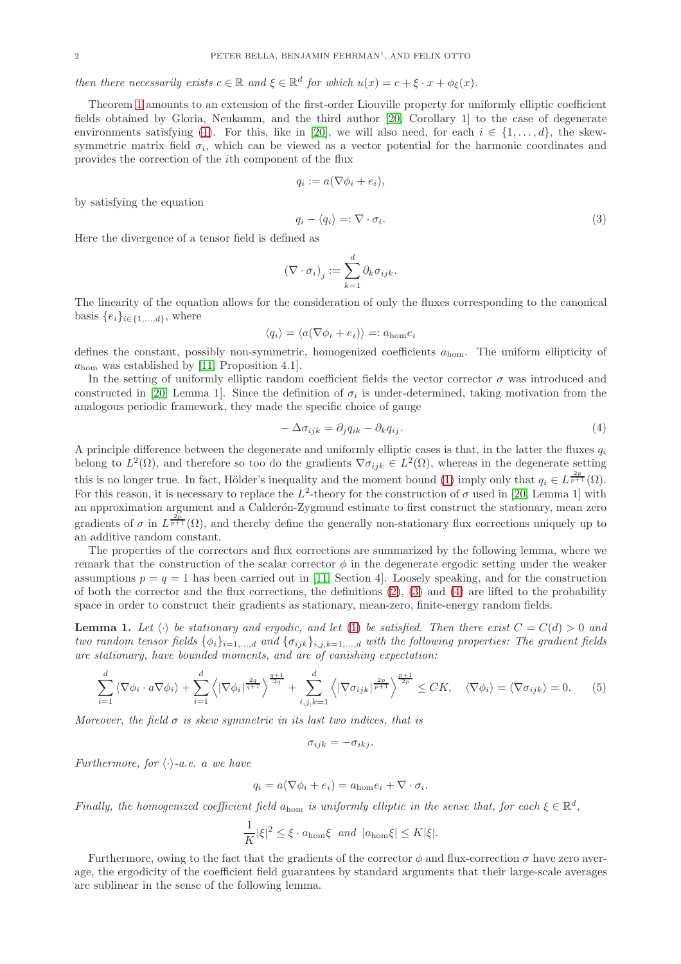# then there necessarily exists  $c \in \mathbb{R}$  and  $\xi \in \mathbb{R}^d$  for which  $u(x) = c + \xi \cdot x + \phi_{\xi}(x)$ .

Theorem [1](#page-0-2) amounts to an extension of the first-order Liouville property for uniformly elliptic coefficient fields obtained by Gloria, Neukamm, and the third author [\[20,](#page-16-1) Corollary 1] to the case of degenerate environments satisfying [\(1\)](#page-0-0). For this, like in [\[20\]](#page-16-1), we will also need, for each  $i \in \{1, \ldots, d\}$ , the skewsymmetric matrix field  $\sigma_i$ , which can be viewed as a vector potential for the harmonic coordinates and provides the correction of the ith component of the flux

$$
q_i := a(\nabla \phi_i + e_i),
$$

by satisfying the equation

<span id="page-1-0"></span>
$$
q_i - \langle q_i \rangle =: \nabla \cdot \sigma_i. \tag{3}
$$

Here the divergence of a tensor field is defined as

$$
\left(\nabla \cdot \sigma_i\right)_j := \sum_{k=1}^d \partial_k \sigma_{ijk}.
$$

The linearity of the equation allows for the consideration of only the fluxes corresponding to the canonical basis  $\{e_i\}_{i\in\{1,\ldots,d\}}$ , where

$$
\langle q_i \rangle = \langle a(\nabla \phi_i + e_i) \rangle =: a_{\text{hom}} e_i
$$

defines the constant, possibly non-symmetric, homogenized coefficients  $a_{\text{hom}}$ . The uniform ellipticity of  $a_{\text{hom}}$  was established by [\[11,](#page-16-0) Proposition 4.1].

In the setting of uniformly elliptic random coefficient fields the vector corrector  $\sigma$  was introduced and constructed in [\[20,](#page-16-1) Lemma 1]. Since the definition of  $\sigma_i$  is under-determined, taking motivation from the analogous periodic framework, they made the specific choice of gauge

<span id="page-1-1"></span>
$$
-\Delta \sigma_{ijk} = \partial_j q_{ik} - \partial_k q_{ij}.\tag{4}
$$

A principle difference between the degenerate and uniformly elliptic cases is that, in the latter the fluxes  $q_i$ belong to  $L^2(\Omega)$ , and therefore so too do the gradients  $\nabla \sigma_{ijk} \in L^2(\Omega)$ , whereas in the degenerate setting this is no longer true. In fact, Hölder's inequality and the moment bound [\(1\)](#page-0-0) imply only that  $q_i \in L^{\frac{2p}{p+1}}(\Omega)$ . For this reason, it is necessary to replace the  $L^2$ -theory for the construction of  $\sigma$  used in [\[20,](#page-16-1) Lemma 1] with an approximation argument and a Calderón-Zygmund estimate to first construct the stationary, mean zero gradients of  $\sigma$  in  $L^{\frac{2p}{p+1}}(\Omega)$ , and thereby define the generally non-stationary flux corrections uniquely up to an additive random constant.

The properties of the correctors and flux corrections are summarized by the following lemma, where we remark that the construction of the scalar corrector  $\phi$  in the degenerate ergodic setting under the weaker assumptions  $p = q = 1$  has been carried out in [\[11,](#page-16-0) Section 4]. Loosely speaking, and for the construction of both the corrector and the flux corrections, the definitions [\(2\)](#page-0-1), [\(3\)](#page-1-0) and [\(4\)](#page-1-1) are lifted to the probability space in order to construct their gradients as stationary, mean-zero, finite-energy random fields.

<span id="page-1-2"></span>**Lemma 1.** Let  $\langle \cdot \rangle$  be stationary and ergodic, and let [\(1\)](#page-0-0) be satisfied. Then there exist  $C = C(d) > 0$  and two random tensor fields  $\{\phi_i\}_{i=1,\dots,d}$  and  $\{\sigma_{ijk}\}_{i,j,k=1,\dots,d}$  with the following properties: The gradient fields are stationary, have bounded moments, and are of vanishing expectation:

<span id="page-1-3"></span>
$$
\sum_{i=1}^{d} \left\langle \nabla \phi_i \cdot a \nabla \phi_i \right\rangle + \sum_{i=1}^{d} \left\langle |\nabla \phi_i|^{\frac{2q}{q+1}} \right\rangle^{\frac{q+1}{2q}} + \sum_{i,j,k=1}^{d} \left\langle |\nabla \sigma_{ijk}|^{\frac{2p}{p+1}} \right\rangle^{\frac{p+1}{2p}} \leq CK, \quad \langle \nabla \phi_i \rangle = \langle \nabla \sigma_{ijk} \rangle = 0. \tag{5}
$$

Moreover, the field  $\sigma$  is skew symmetric in its last two indices, that is

$$
\sigma_{ijk}=-\sigma_{ikj}.
$$

Furthermore, for  $\langle \cdot \rangle$ -a.e. a we have

$$
q_i = a(\nabla \phi_i + e_i) = a_{\text{hom}}e_i + \nabla \cdot \sigma_i.
$$

Finally, the homogenized coefficient field  $a_{\text{hom}}$  is uniformly elliptic in the sense that, for each  $\xi \in \mathbb{R}^d$ ,

$$
\frac{1}{K}|\xi|^2 \le \xi \cdot a_{\text{hom}}\xi \quad \text{and} \quad |a_{\text{hom}}\xi| \le K|\xi|.
$$

Furthermore, owing to the fact that the gradients of the corrector  $\phi$  and flux-correction  $\sigma$  have zero average, the ergodicity of the coefficient field guarantees by standard arguments that their large-scale averages are sublinear in the sense of the following lemma.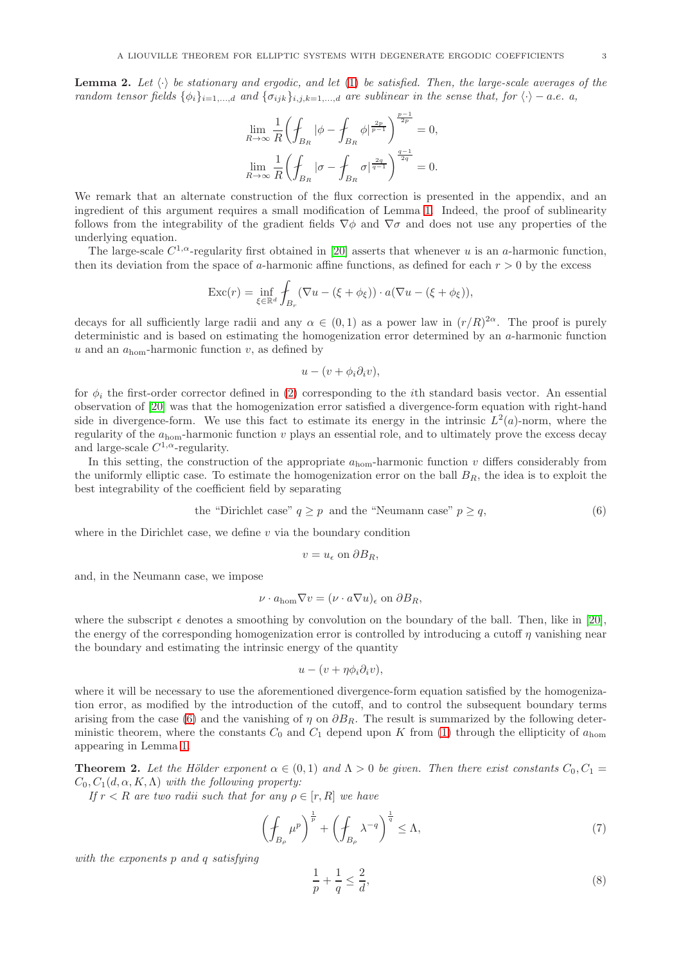<span id="page-2-0"></span>**Lemma 2.** Let  $\langle \cdot \rangle$  be stationary and ergodic, and let [\(1\)](#page-0-0) be satisfied. Then, the large-scale averages of the random tensor fields  $\{\phi_i\}_{i=1,\dots,d}$  and  $\{\sigma_{ijk}\}_{i,j,k=1,\dots,d}$  are sublinear in the sense that, for  $\langle \cdot \rangle - a.e.$  a,

$$
\lim_{R \to \infty} \frac{1}{R} \left( \oint_{B_R} |\phi - \oint_{B_R} \phi|^{\frac{2p}{p-1}} \right)^{\frac{p-1}{2p}} = 0,
$$
  

$$
\lim_{R \to \infty} \frac{1}{R} \left( \oint_{B_R} |\sigma - \oint_{B_R} \sigma|^{\frac{2q}{q-1}} \right)^{\frac{q-1}{2q}} = 0.
$$

We remark that an alternate construction of the flux correction is presented in the appendix, and an ingredient of this argument requires a small modification of Lemma [1.](#page-1-2) Indeed, the proof of sublinearity follows from the integrability of the gradient fields  $\nabla \phi$  and  $\nabla \sigma$  and does not use any properties of the underlying equation.

The large-scale  $C^{1,\alpha}$ -regularity first obtained in [\[20\]](#page-16-1) asserts that whenever u is an a-harmonic function, then its deviation from the space of a-harmonic affine functions, as defined for each  $r > 0$  by the excess

$$
\operatorname{Exc}(r)=\inf_{\xi\in\mathbb{R}^d}\int_{B_r}(\nabla u-(\xi+\phi_{\xi}))\cdot a(\nabla u-(\xi+\phi_{\xi})),
$$

decays for all sufficiently large radii and any  $\alpha \in (0,1)$  as a power law in  $(r/R)^{2\alpha}$ . The proof is purely deterministic and is based on estimating the homogenization error determined by an a-harmonic function u and an  $a_{\text{hom}}$ -harmonic function v, as defined by

$$
u-(v+\phi_i\partial_iv),
$$

for  $\phi_i$  the first-order corrector defined in [\(2\)](#page-0-1) corresponding to the *i*th standard basis vector. An essential observation of [\[20\]](#page-16-1) was that the homogenization error satisfied a divergence-form equation with right-hand side in divergence-form. We use this fact to estimate its energy in the intrinsic  $L^2(a)$ -norm, where the regularity of the  $a_{\text{hom}}$ -harmonic function v plays an essential role, and to ultimately prove the excess decay and large-scale  $C^{1,\alpha}$ -regularity.

In this setting, the construction of the appropriate  $a_{\text{hom}}$ -harmonic function v differs considerably from the uniformly elliptic case. To estimate the homogenization error on the ball  $B_R$ , the idea is to exploit the best integrability of the coefficient field by separating

<span id="page-2-2"></span>the "Dirichlet case" 
$$
q \ge p
$$
 and the "Neumann case"  $p \ge q$ ,  $(6)$ 

where in the Dirichlet case, we define  $v$  via the boundary condition

$$
v = u_{\epsilon} \text{ on } \partial B_R,
$$

and, in the Neumann case, we impose

$$
\nu \cdot a_{\text{hom}} \nabla v = (\nu \cdot a \nabla u)_{\epsilon} \text{ on } \partial B_R,
$$

where the subscript  $\epsilon$  denotes a smoothing by convolution on the boundary of the ball. Then, like in [\[20\]](#page-16-1), the energy of the corresponding homogenization error is controlled by introducing a cutoff  $\eta$  vanishing near the boundary and estimating the intrinsic energy of the quantity

$$
u - (v + \eta \phi_i \partial_i v),
$$

where it will be necessary to use the aforementioned divergence-form equation satisfied by the homogenization error, as modified by the introduction of the cutoff, and to control the subsequent boundary terms arising from the case [\(6\)](#page-2-2) and the vanishing of  $\eta$  on  $\partial B_R$ . The result is summarized by the following deterministic theorem, where the constants  $C_0$  and  $C_1$  depend upon K from [\(1\)](#page-0-0) through the ellipticity of  $a_{\text{hom}}$ appearing in Lemma [1.](#page-1-2)

<span id="page-2-1"></span>**Theorem 2.** Let the Hölder exponent  $\alpha \in (0,1)$  and  $\Lambda > 0$  be given. Then there exist constants  $C_0, C_1 =$  $C_0, C_1(d, \alpha, K, \Lambda)$  with the following property:

If  $r < R$  are two radii such that for any  $\rho \in [r, R]$  we have

<span id="page-2-3"></span>
$$
\left(\oint_{B_{\rho}} \mu^p \right)^{\frac{1}{p}} + \left(\oint_{B_{\rho}} \lambda^{-q} \right)^{\frac{1}{q}} \leq \Lambda,\tag{7}
$$

with the exponents p and q satisfying

<span id="page-2-4"></span>
$$
\frac{1}{p} + \frac{1}{q} \le \frac{2}{d},\tag{8}
$$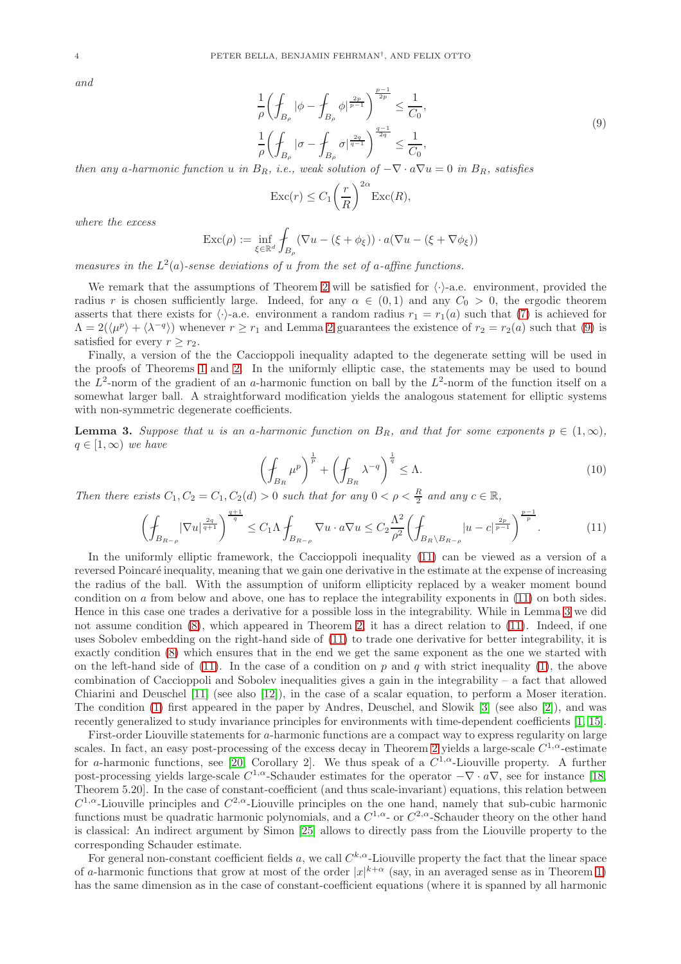and

<span id="page-3-1"></span>
$$
\frac{1}{\rho} \left( \oint_{B_{\rho}} |\phi - \oint_{B_{\rho}} \phi|^{\frac{2p}{p-1}} \right)^{\frac{p-1}{2p}} \le \frac{1}{C_0},
$$
\n
$$
\frac{1}{\rho} \left( \oint_{B_{\rho}} |\sigma - \oint_{B_{\rho}} \sigma|^{\frac{2q}{q-1}} \right)^{\frac{q-1}{2q}} \le \frac{1}{C_0},
$$
\n
$$
B_{\rho} \left( \oint_{B_{\rho}} |\phi - \oint_{B_{\rho}} \sigma|^{\frac{2q}{q-1}} \right)^{\frac{q-1}{2q}} \le \frac{1}{C_0}.
$$
\n(9)

then any a-harmonic function u in  $B_R$ , i.e., weak solution of  $-\nabla \cdot a\nabla u = 0$  in  $B_R$ , satisfies

$$
\operatorname{Exc}(r) \le C_1 \left(\frac{r}{R}\right)^{2\alpha} \operatorname{Exc}(R),
$$

where the excess

$$
\operatorname{Exc}(\rho) := \inf_{\xi \in \mathbb{R}^d} \int_{B_\rho} (\nabla u - (\xi + \phi_{\xi})) \cdot a(\nabla u - (\xi + \nabla \phi_{\xi}))
$$

measures in the  $L^2(a)$ -sense deviations of u from the set of a-affine functions.

We remark that the assumptions of Theorem [2](#page-2-1) will be satisfied for  $\langle \cdot \rangle$ -a.e. environment, provided the radius r is chosen sufficiently large. Indeed, for any  $\alpha \in (0,1)$  and any  $C_0 > 0$ , the ergodic theorem asserts that there exists for  $\langle \cdot \rangle$ -a.e. environment a random radius  $r_1 = r_1(a)$  such that [\(7\)](#page-2-3) is achieved for  $\Lambda = 2(\langle \mu^p \rangle + \langle \lambda^{-q} \rangle)$  $\Lambda = 2(\langle \mu^p \rangle + \langle \lambda^{-q} \rangle)$  $\Lambda = 2(\langle \mu^p \rangle + \langle \lambda^{-q} \rangle)$  whenever  $r \ge r_1$  and Lemma 2 guarantees the existence of  $r_2 = r_2(a)$  such that [\(9\)](#page-3-1) is satisfied for every  $r \geq r_2$ .

Finally, a version of the the Caccioppoli inequality adapted to the degenerate setting will be used in the proofs of Theorems [1](#page-0-2) and [2.](#page-2-1) In the uniformly elliptic case, the statements may be used to bound the  $L^2$ -norm of the gradient of an a-harmonic function on ball by the  $L^2$ -norm of the function itself on a somewhat larger ball. A straightforward modification yields the analogous statement for elliptic systems with non-symmetric degenerate coefficients.

<span id="page-3-0"></span>**Lemma 3.** Suppose that u is an a-harmonic function on  $B_R$ , and that for some exponents  $p \in (1,\infty)$ ,  $q \in [1,\infty)$  we have

<span id="page-3-3"></span>
$$
\left(\oint_{B_R} \mu^p\right)^{\frac{1}{p}} + \left(\oint_{B_R} \lambda^{-q}\right)^{\frac{1}{q}} \le \Lambda. \tag{10}
$$

Then there exists  $C_1, C_2 = C_1, C_2(d) > 0$  such that for any  $0 < \rho < \frac{R}{2}$  and any  $c \in \mathbb{R}$ ,

<span id="page-3-2"></span>
$$
\left(\oint_{B_{R-\rho}} |\nabla u|^{\frac{2q}{q+1}}\right)^{\frac{q+1}{q}} \le C_1 \Lambda \oint_{B_{R-\rho}} \nabla u \cdot a \nabla u \le C_2 \frac{\Lambda^2}{\rho^2} \left(\oint_{B_R \setminus B_{R-\rho}} |u-c|^{\frac{2p}{p-1}}\right)^{\frac{p-1}{p}}.\tag{11}
$$

In the uniformly elliptic framework, the Caccioppoli inequality [\(11\)](#page-3-2) can be viewed as a version of a reversed Poincaré inequality, meaning that we gain one derivative in the estimate at the expense of increasing the radius of the ball. With the assumption of uniform ellipticity replaced by a weaker moment bound condition on a from below and above, one has to replace the integrability exponents in [\(11\)](#page-3-2) on both sides. Hence in this case one trades a derivative for a possible loss in the integrability. While in Lemma [3](#page-3-0) we did not assume condition [\(8\)](#page-2-4), which appeared in Theorem [2,](#page-2-1) it has a direct relation to [\(11\)](#page-3-2). Indeed, if one uses Sobolev embedding on the right-hand side of [\(11\)](#page-3-2) to trade one derivative for better integrability, it is exactly condition [\(8\)](#page-2-4) which ensures that in the end we get the same exponent as the one we started with on the left-hand side of [\(11\)](#page-3-2). In the case of a condition on p and q with strict inequality [\(1\)](#page-0-0), the above combination of Caccioppoli and Sobolev inequalities gives a gain in the integrability – a fact that allowed Chiarini and Deuschel [\[11\]](#page-16-0) (see also [\[12\]](#page-16-2)), in the case of a scalar equation, to perform a Moser iteration. The condition [\(1\)](#page-0-0) first appeared in the paper by Andres, Deuschel, and Slowik [\[3\]](#page-16-3) (see also [\[2\]](#page-16-4)), and was recently generalized to study invariance principles for environments with time-dependent coefficients [\[1,](#page-16-5) [15\]](#page-16-6).

First-order Liouville statements for a-harmonic functions are a compact way to express regularity on large scales. In fact, an easy post-processing of the excess decay in Theorem [2](#page-2-1) yields a large-scale  $C^{1,\alpha}$ -estimate for a-harmonic functions, see [\[20,](#page-16-1) Corollary 2]. We thus speak of a  $C^{1,\alpha}$ -Liouville property. A further post-processing yields large-scale  $C^{1,\alpha}$ -Schauder estimates for the operator  $-\nabla \cdot a\nabla$ , see for instance [\[18,](#page-16-7) Theorem 5.20]. In the case of constant-coefficient (and thus scale-invariant) equations, this relation between  $C^{1,\alpha}$ -Liouville principles and  $C^{2,\alpha}$ -Liouville principles on the one hand, namely that sub-cubic harmonic functions must be quadratic harmonic polynomials, and a  $C^{1,\alpha}$ - or  $C^{2,\alpha}$ -Schauder theory on the other hand is classical: An indirect argument by Simon [\[25\]](#page-17-0) allows to directly pass from the Liouville property to the corresponding Schauder estimate.

For general non-constant coefficient fields a, we call  $C^{k,\alpha}$ -Liouville property the fact that the linear space of a-harmonic functions that grow at most of the order  $|x|^{k+\alpha}$  (say, in an averaged sense as in Theorem [1\)](#page-0-2) has the same dimension as in the case of constant-coefficient equations (where it is spanned by all harmonic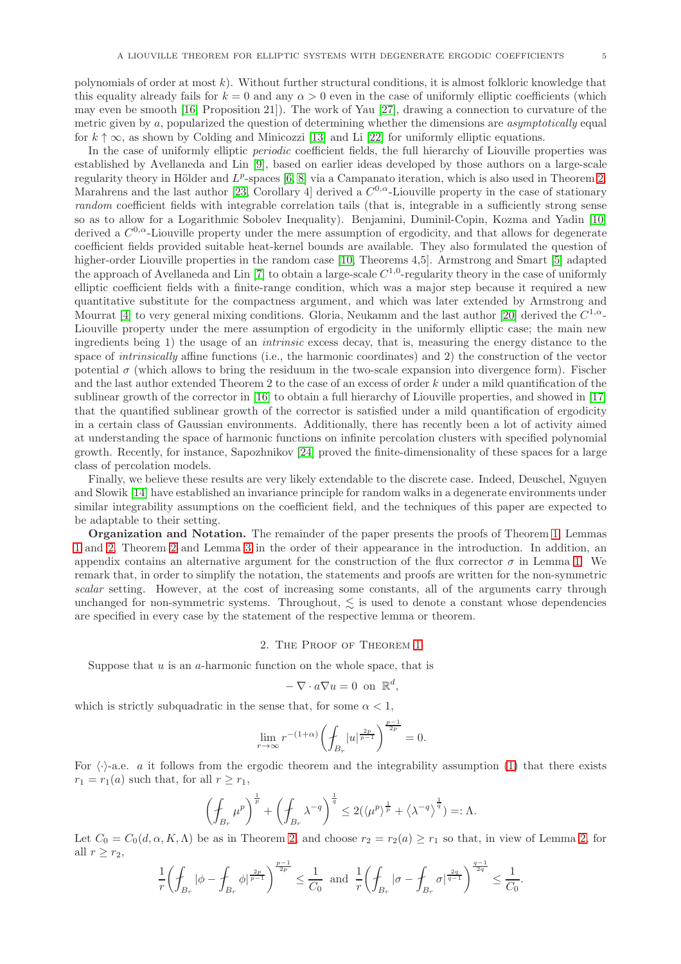polynomials of order at most  $k$ ). Without further structural conditions, it is almost folkloric knowledge that this equality already fails for  $k = 0$  and any  $\alpha > 0$  even in the case of uniformly elliptic coefficients (which may even be smooth [\[16,](#page-16-8) Proposition 21]). The work of Yau [\[27\]](#page-17-1), drawing a connection to curvature of the metric given by a, popularized the question of determining whether the dimensions are asymptotically equal for  $k \uparrow \infty$ , as shown by Colding and Minicozzi [\[13\]](#page-16-9) and Li [\[22\]](#page-16-10) for uniformly elliptic equations.

In the case of uniformly elliptic *periodic* coefficient fields, the full hierarchy of Liouville properties was established by Avellaneda and Lin [\[9\]](#page-16-11), based on earlier ideas developed by those authors on a large-scale regularity theory in Hölder and  $L^p$ -spaces [\[6,](#page-16-12) [8\]](#page-16-13) via a Campanato iteration, which is also used in Theorem [2.](#page-2-1) Marahrens and the last author [\[23,](#page-16-14) Corollary 4] derived a  $C^{0,\alpha}$ -Liouville property in the case of stationary random coefficient fields with integrable correlation tails (that is, integrable in a sufficiently strong sense so as to allow for a Logarithmic Sobolev Inequality). Benjamini, Duminil-Copin, Kozma and Yadin [\[10\]](#page-16-15) derived a  $C^{0,\alpha}$ -Liouville property under the mere assumption of ergodicity, and that allows for degenerate coefficient fields provided suitable heat-kernel bounds are available. They also formulated the question of higher-order Liouville properties in the random case [\[10,](#page-16-15) Theorems 4,5]. Armstrong and Smart [\[5\]](#page-16-16) adapted the approach of Avellaneda and Lin [\[7\]](#page-16-17) to obtain a large-scale  $C^{1,0}$ -regularity theory in the case of uniformly elliptic coefficient fields with a finite-range condition, which was a major step because it required a new quantitative substitute for the compactness argument, and which was later extended by Armstrong and Mourrat [\[4\]](#page-16-18) to very general mixing conditions. Gloria, Neukamm and the last author [\[20\]](#page-16-1) derived the  $C^{1,\alpha}$ -Liouville property under the mere assumption of ergodicity in the uniformly elliptic case; the main new ingredients being 1) the usage of an intrinsic excess decay, that is, measuring the energy distance to the space of *intrinsically* affine functions (i.e., the harmonic coordinates) and 2) the construction of the vector potential  $\sigma$  (which allows to bring the residuum in the two-scale expansion into divergence form). Fischer and the last author extended Theorem 2 to the case of an excess of order k under a mild quantification of the sublinear growth of the corrector in [\[16\]](#page-16-8) to obtain a full hierarchy of Liouville properties, and showed in [\[17\]](#page-16-19) that the quantified sublinear growth of the corrector is satisfied under a mild quantification of ergodicity in a certain class of Gaussian environments. Additionally, there has recently been a lot of activity aimed at understanding the space of harmonic functions on infinite percolation clusters with specified polynomial growth. Recently, for instance, Sapozhnikov [\[24\]](#page-17-2) proved the finite-dimensionality of these spaces for a large class of percolation models.

Finally, we believe these results are very likely extendable to the discrete case. Indeed, Deuschel, Nguyen and Slowik [\[14\]](#page-16-20) have established an invariance principle for random walks in a degenerate environments under similar integrability assumptions on the coefficient field, and the techniques of this paper are expected to be adaptable to their setting.

Organization and Notation. The remainder of the paper presents the proofs of Theorem [1,](#page-0-2) Lemmas [1](#page-1-2) and [2,](#page-2-0) Theorem [2](#page-2-1) and Lemma [3](#page-3-0) in the order of their appearance in the introduction. In addition, an appendix contains an alternative argument for the construction of the flux corrector  $\sigma$  in Lemma [1.](#page-1-2) We remark that, in order to simplify the notation, the statements and proofs are written for the non-symmetric scalar setting. However, at the cost of increasing some constants, all of the arguments carry through unchanged for non-symmetric systems. Throughout,  $\leq$  is used to denote a constant whose dependencies are specified in every case by the statement of the respective lemma or theorem.

#### 2. The Proof of Theorem [1](#page-0-2)

Suppose that  $u$  is an  $a$ -harmonic function on the whole space, that is

$$
-\nabla \cdot a\nabla u = 0 \text{ on } \mathbb{R}^d,
$$

which is strictly subquadratic in the sense that, for some  $\alpha < 1$ ,

$$
\lim_{r \to \infty} r^{-(1+\alpha)} \left( \int_{B_r} |u|^{\frac{2p}{p-1}} \right)^{\frac{p-1}{2p}} = 0.
$$

For  $\langle \cdot \rangle$ -a.e. a it follows from the ergodic theorem and the integrability assumption [\(1\)](#page-0-0) that there exists  $r_1 = r_1(a)$  such that, for all  $r \ge r_1$ ,

$$
\left(\oint_{B_r} \mu^p\right)^{\frac{1}{p}} + \left(\oint_{B_r} \lambda^{-q}\right)^{\frac{1}{q}} \le 2(\langle \mu^p \rangle^{\frac{1}{p}} + \langle \lambda^{-q} \rangle^{\frac{1}{q}}) =: \Lambda.
$$

Let  $C_0 = C_0(d, \alpha, K, \Lambda)$  be as in Theorem [2,](#page-2-0) and choose  $r_2 = r_2(a) \ge r_1$  so that, in view of Lemma 2, for all  $r \geq r_2$ ,

$$
\frac{1}{r} \biggl( \oint_{B_r} |\phi - \oint_{B_r} \phi|^{2p \over p-1} \biggr)^{p-1 \over 2p} \leq \frac{1}{C_0} \text{ and } \frac{1}{r} \biggl( \oint_{B_r} |\sigma - \oint_{B_r} \sigma|^{2q \over q-1} \biggr)^{q-1 \over 2q} \leq \frac{1}{C_0}.
$$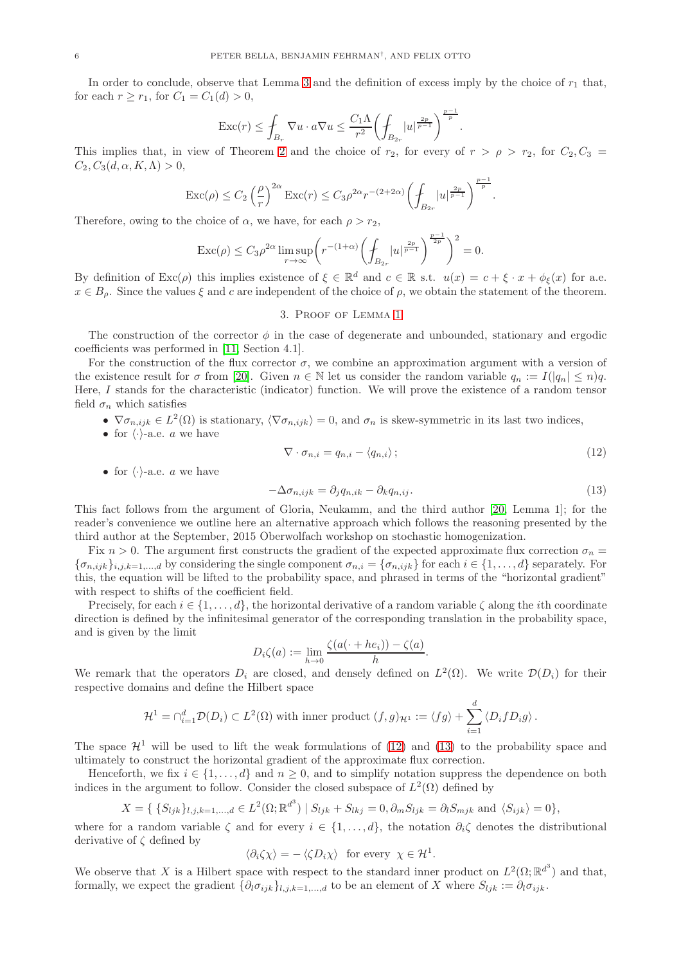In order to conclude, observe that Lemma [3](#page-3-0) and the definition of excess imply by the choice of  $r_1$  that, for each  $r > r_1$ , for  $C_1 = C_1(d) > 0$ ,

$$
\mathrm{Exc}(r)\leq \int_{B_r}\nabla u\cdot a\nabla u\leq \frac{C_1\Lambda}{r^2}\biggl(\int_{B_{2r}}|u|^{\frac{2p}{p-1}}\biggr)^{\frac{p-1}{p}}.
$$

This implies that, in view of Theorem [2](#page-2-1) and the choice of  $r_2$ , for every of  $r > \rho > r_2$ , for  $C_2, C_3 =$  $C_2, C_3(d, \alpha, K, \Lambda) > 0$ ,

$$
\operatorname{Exc}(\rho)\leq C_2\left(\frac{\rho}{r}\right)^{2\alpha}\operatorname{Exc}(r)\leq C_3\rho^{2\alpha}r^{-(2+2\alpha)}\left(\int_{B_{2r}}|u|^{\frac{2p}{p-1}}\right)^{\frac{p-1}{p}}.
$$

Therefore, owing to the choice of  $\alpha$ , we have, for each  $\rho > r_2$ ,

$$
\operatorname{Exc}(\rho) \le C_3 \rho^{2\alpha} \limsup_{r \to \infty} \left( r^{-(1+\alpha)} \left( \int_{B_{2r}} |u|^{\frac{2p}{p-1}} \right)^{\frac{p-1}{2p}} \right)^2 = 0.
$$

By definition of  $\text{Exc}(\rho)$  this implies existence of  $\xi \in \mathbb{R}^d$  and  $c \in \mathbb{R}$  s.t.  $u(x) = c + \xi \cdot x + \phi_{\xi}(x)$  for a.e.  $x \in B_\rho$ . Since the values  $\xi$  and c are independent of the choice of  $\rho$ , we obtain the statement of the theorem.

### 3. Proof of Lemma [1](#page-1-2)

The construction of the corrector  $\phi$  in the case of degenerate and unbounded, stationary and ergodic coefficients was performed in [\[11,](#page-16-0) Section 4.1].

For the construction of the flux corrector  $\sigma$ , we combine an approximation argument with a version of the existence result for  $\sigma$  from [\[20\]](#page-16-1). Given  $n \in \mathbb{N}$  let us consider the random variable  $q_n := I(|q_n| \le n)q$ . Here, I stands for the characteristic (indicator) function. We will prove the existence of a random tensor field  $\sigma_n$  which satisfies

- $\nabla \sigma_{n,ijk} \in L^2(\Omega)$  is stationary,  $\langle \nabla \sigma_{n,ijk} \rangle = 0$ , and  $\sigma_n$  is skew-symmetric in its last two indices,
- for  $\langle \cdot \rangle$ -a.e. a we have

<span id="page-5-1"></span><span id="page-5-0"></span>
$$
\nabla \cdot \sigma_{n,i} = q_{n,i} - \langle q_{n,i} \rangle ; \tag{12}
$$

• for  $\langle \cdot \rangle$ -a.e. a we have

$$
-\Delta \sigma_{n,ijk} = \partial_j q_{n,ik} - \partial_k q_{n,ij}.
$$
\n(13)

This fact follows from the argument of Gloria, Neukamm, and the third author [\[20,](#page-16-1) Lemma 1]; for the reader's convenience we outline here an alternative approach which follows the reasoning presented by the third author at the September, 2015 Oberwolfach workshop on stochastic homogenization.

Fix  $n > 0$ . The argument first constructs the gradient of the expected approximate flux correction  $\sigma_n =$  ${\{\sigma_{n,ijk}\}}_{i,j,k=1,\ldots,d}$  by considering the single component  $\sigma_{n,i} = {\{\sigma_{n,ijk}\}}$  for each  $i \in \{1,\ldots,d\}$  separately. For this, the equation will be lifted to the probability space, and phrased in terms of the "horizontal gradient" with respect to shifts of the coefficient field.

Precisely, for each  $i \in \{1, \ldots, d\}$ , the horizontal derivative of a random variable  $\zeta$  along the *i*th coordinate direction is defined by the infinitesimal generator of the corresponding translation in the probability space, and is given by the limit

$$
D_i\zeta(a) := \lim_{h \to 0} \frac{\zeta(a(\cdot + he_i)) - \zeta(a)}{h}.
$$

We remark that the operators  $D_i$  are closed, and densely defined on  $L^2(\Omega)$ . We write  $\mathcal{D}(D_i)$  for their respective domains and define the Hilbert space

$$
\mathcal{H}^1 = \cap_{i=1}^d \mathcal{D}(D_i) \subset L^2(\Omega) \text{ with inner product } (f,g)_{\mathcal{H}^1} := \langle fg \rangle + \sum_{i=1}^d \langle D_i f D_i g \rangle.
$$

The space  $\mathcal{H}^1$  will be used to lift the weak formulations of [\(12\)](#page-5-0) and [\(13\)](#page-5-1) to the probability space and ultimately to construct the horizontal gradient of the approximate flux correction.

Henceforth, we fix  $i \in \{1, ..., d\}$  and  $n \geq 0$ , and to simplify notation suppress the dependence on both indices in the argument to follow. Consider the closed subspace of  $L^2(\Omega)$  defined by

$$
X = \{ \{ S_{ljk} \}_{l,j,k=1,\dots,d} \in L^2(\Omega; \mathbb{R}^{d^3}) \mid S_{ljk} + S_{lkj} = 0, \partial_m S_{ljk} = \partial_l S_{mjk} \text{ and } \langle S_{ijk} \rangle = 0 \},
$$

where for a random variable  $\zeta$  and for every  $i \in \{1, \ldots, d\}$ , the notation  $\partial_i \zeta$  denotes the distributional derivative of  $\zeta$  defined by

$$
\langle \partial_i \zeta \chi \rangle = - \langle \zeta D_i \chi \rangle \text{ for every } \chi \in \mathcal{H}^1.
$$

We observe that X is a Hilbert space with respect to the standard inner product on  $L^2(\Omega;\mathbb{R}^{d^3})$  and that, formally, we expect the gradient  $\{\partial_l \sigma_{ijk}\}_{l,j,k=1,\dots,d}$  to be an element of X where  $S_{ljk} := \partial_l \sigma_{ijk}$ .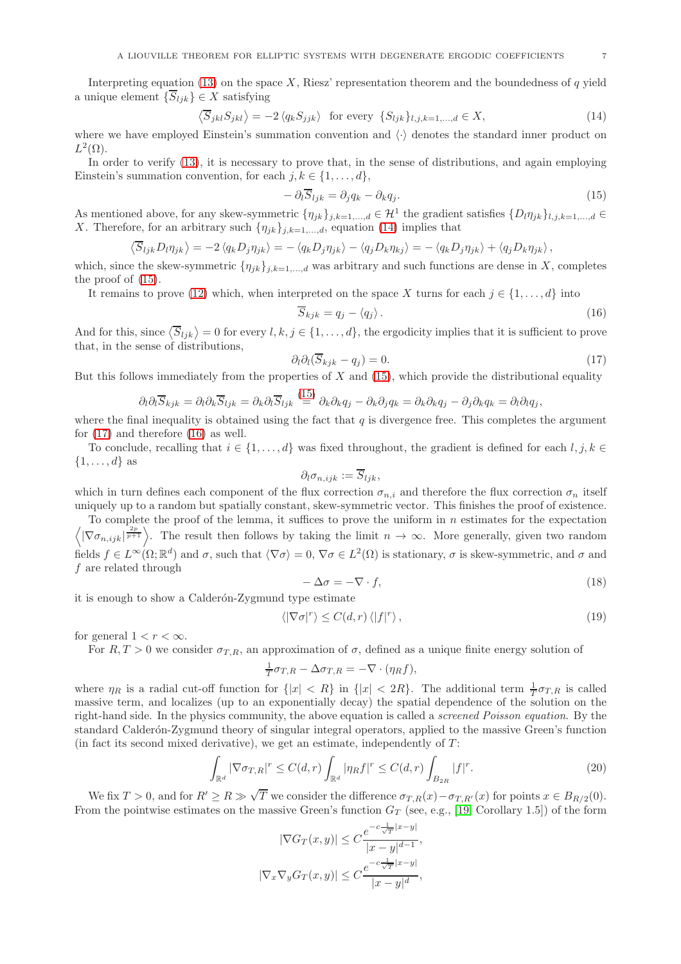Interpreting equation [\(13\)](#page-5-1) on the space X, Riesz' representation theorem and the boundedness of q yield a unique element  $\{\overline{S}_{ljk}\}\in X$  satisfying

<span id="page-6-0"></span>
$$
\langle \overline{S}_{jkl} S_{jkl} \rangle = -2 \langle q_k S_{jjk} \rangle \text{ for every } \{S_{ljk}\}_{l,j,k=1,\dots,d} \in X,
$$
\n(14)

where we have employed Einstein's summation convention and  $\langle \cdot \rangle$  denotes the standard inner product on  $L^2(\Omega)$ .

In order to verify [\(13\)](#page-5-1), it is necessary to prove that, in the sense of distributions, and again employing Einstein's summation convention, for each  $j, k \in \{1, \ldots, d\},\$ 

<span id="page-6-1"></span>
$$
-\partial_t \overline{S}_{ljk} = \partial_j q_k - \partial_k q_j. \tag{15}
$$

As mentioned above, for any skew-symmetric  $\{\eta_{jk}\}_{j,k=1,\dots,d} \in \mathcal{H}^1$  the gradient satisfies  $\{D_l\eta_{jk}\}_{l,j,k=1,\dots,d} \in \mathcal{H}^1$ X. Therefore, for an arbitrary such  $\{\eta_{jk}\}_{j,k=1,\dots,d}$ , equation [\(14\)](#page-6-0) implies that

$$
\langle \overline{S}_{ljk} D_l \eta_{jk} \rangle = -2 \langle q_k D_j \eta_{jk} \rangle = - \langle q_k D_j \eta_{jk} \rangle - \langle q_j D_k \eta_{kj} \rangle = - \langle q_k D_j \eta_{jk} \rangle + \langle q_j D_k \eta_{jk} \rangle,
$$

which, since the skew-symmetric  $\{\eta_{jk}\}_{j,k=1,\dots,d}$  was arbitrary and such functions are dense in X, completes the proof of [\(15\)](#page-6-1).

It remains to prove [\(12\)](#page-5-0) which, when interpreted on the space X turns for each  $j \in \{1, \ldots, d\}$  into

<span id="page-6-3"></span>
$$
\overline{S}_{kjk} = q_j - \langle q_j \rangle. \tag{16}
$$

And for this, since  $\langle \overline{S}_{ljk} \rangle = 0$  for every  $l, k, j \in \{1, ..., d\}$ , the ergodicity implies that it is sufficient to prove that, in the sense of distributions,

<span id="page-6-2"></span>
$$
\partial_l \partial_l (\overline{S}_{kjk} - q_j) = 0. \tag{17}
$$

But this follows immediately from the properties of  $X$  and [\(15\)](#page-6-1), which provide the distributional equality

$$
\partial_l \partial_l \overline{S}_{kjk} = \partial_l \partial_k \overline{S}_{ljk} = \partial_k \partial_l \overline{S}_{ljk} \stackrel{(15)}{=} \partial_k \partial_k q_j - \partial_k \partial_j q_k = \partial_k \partial_k q_j - \partial_j \partial_k q_k = \partial_l \partial_l q_j,
$$

where the final inequality is obtained using the fact that  $q$  is divergence free. This completes the argument for [\(17\)](#page-6-2) and therefore [\(16\)](#page-6-3) as well.

To conclude, recalling that  $i \in \{1, ..., d\}$  was fixed throughout, the gradient is defined for each  $l, j, k \in$  $\{1,\ldots,d\}$  as

$$
\partial_l \sigma_{n,ijk} := \overline{S}_{ljk},
$$

which in turn defines each component of the flux correction  $\sigma_{n,i}$  and therefore the flux correction  $\sigma_n$  itself uniquely up to a random but spatially constant, skew-symmetric vector. This finishes the proof of existence.

To complete the proof of the lemma, it suffices to prove the uniform in  $n$  estimates for the expectation  $\left\langle |\nabla \sigma_{n,ijk}|^{\frac{2p}{p+1}} \right\rangle$ . The result then follows by taking the limit  $n \to \infty$ . More generally, given two random fields  $f \in L^{\infty}(\Omega;\mathbb{R}^d)$  and  $\sigma$ , such that  $\langle \nabla \sigma \rangle = 0$ ,  $\nabla \sigma \in L^2(\Omega)$  is stationary,  $\sigma$  is skew-symmetric, and  $\sigma$  and f are related through

<span id="page-6-5"></span>
$$
-\Delta \sigma = -\nabla \cdot f,\tag{18}
$$

it is enough to show a Calderón-Zygmund type estimate

<span id="page-6-6"></span>
$$
\langle |\nabla \sigma|^r \rangle \le C(d, r) \langle |f|^r \rangle, \tag{19}
$$

for general  $1 < r < \infty$ .

For  $R, T > 0$  we consider  $\sigma_{T,R}$ , an approximation of  $\sigma$ , defined as a unique finite energy solution of

$$
\frac{1}{T}\sigma_{T,R} - \Delta \sigma_{T,R} = -\nabla \cdot (\eta_R f),
$$

where  $\eta_R$  is a radial cut-off function for  $\{|x| < R\}$  in  $\{|x| < 2R\}$ . The additional term  $\frac{1}{T}\sigma_{T,R}$  is called massive term, and localizes (up to an exponentially decay) the spatial dependence of the solution on the right-hand side. In the physics community, the above equation is called a screened Poisson equation. By the standard Calderón-Zygmund theory of singular integral operators, applied to the massive Green's function (in fact its second mixed derivative), we get an estimate, independently of  $T$ :

<span id="page-6-4"></span>
$$
\int_{\mathbb{R}^d} |\nabla \sigma_{T,R}|^r \le C(d,r) \int_{\mathbb{R}^d} |\eta_R f|^r \le C(d,r) \int_{B_{2R}} |f|^r. \tag{20}
$$

We fix  $T > 0$ , and for  $R' \ge R \gg \sqrt{T}$  we consider the difference  $\sigma_{T,R}(x) - \sigma_{T,R'}(x)$  for points  $x \in B_{R/2}(0)$ . From the pointwise estimates on the massive Green's function  $G_T$  (see, e.g., [\[19,](#page-16-21) Corollary 1.5]) of the form

$$
|\nabla G_T(x, y)| \le C \frac{e^{-c\frac{1}{\sqrt{T}}|x-y|}}{|x-y|^{d-1}},
$$
  

$$
|\nabla_x \nabla_y G_T(x, y)| \le C \frac{e^{-c\frac{1}{\sqrt{T}}|x-y|}}{|x-y|^d},
$$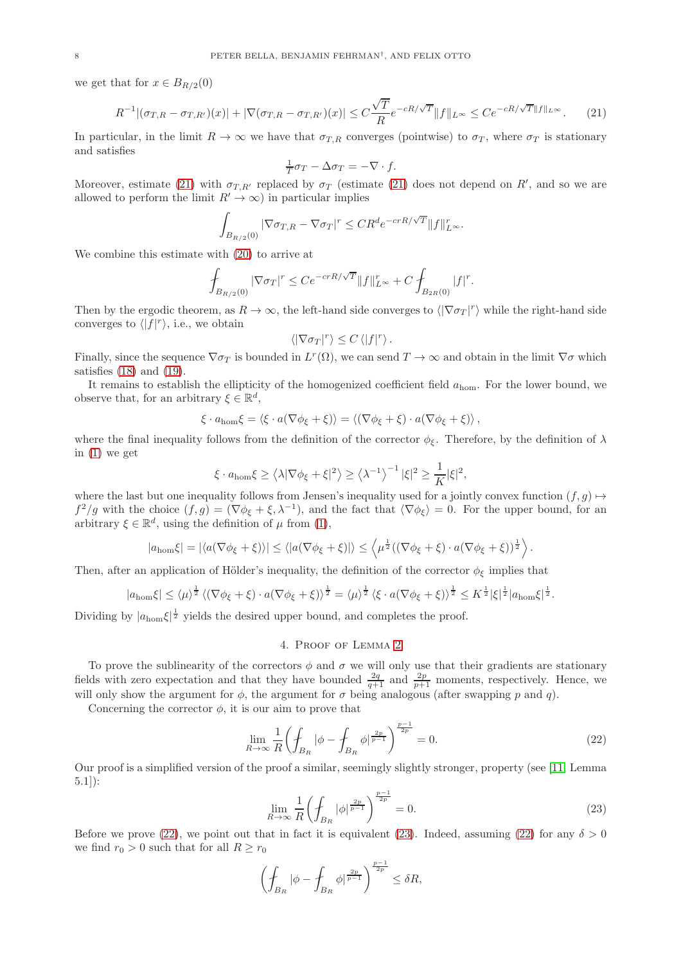we get that for  $x \in B_{R/2}(0)$ 

<span id="page-7-0"></span>
$$
R^{-1}\left| \left(\sigma_{T,R} - \sigma_{T,R'}\right)(x)\right| + \left|\nabla\left(\sigma_{T,R} - \sigma_{T,R'}\right)(x)\right| \le C\frac{\sqrt{T}}{R}e^{-cR/\sqrt{T}}\|f\|_{L^\infty} \le Ce^{-cR/\sqrt{T}\|f\|_{L^\infty}}.\tag{21}
$$

In particular, in the limit  $R \to \infty$  we have that  $\sigma_{T,R}$  converges (pointwise) to  $\sigma_T$ , where  $\sigma_T$  is stationary and satisfies

$$
\frac{1}{T}\sigma_T - \Delta \sigma_T = -\nabla \cdot f.
$$

Moreover, estimate [\(21\)](#page-7-0) with  $\sigma_{T,R'}$  replaced by  $\sigma_T$  (estimate (21) does not depend on R', and so we are allowed to perform the limit  $R' \to \infty$ ) in particular implies

$$
\int_{B_{R/2}(0)} |\nabla \sigma_{T,R} - \nabla \sigma_T|^r \leq C R^d e^{-crR/\sqrt{T}} ||f||_{L^{\infty}}^r.
$$

We combine this estimate with [\(20\)](#page-6-4) to arrive at

$$
\int_{B_{R/2}(0)} |\nabla \sigma_T|^r \le C e^{-crR/\sqrt{T}} ||f||_{L^{\infty}}^r + C \int_{B_{2R}(0)} |f|^r.
$$

Then by the ergodic theorem, as  $R \to \infty$ , the left-hand side converges to  $\langle |\nabla \sigma_T|^r \rangle$  while the right-hand side converges to  $\langle |f|^r \rangle$ , i.e., we obtain

$$
\langle |\nabla \sigma_T|^r \rangle \leq C \langle |f|^r \rangle.
$$

Finally, since the sequence  $\nabla \sigma_T$  is bounded in  $L^r(\Omega)$ , we can send  $T \to \infty$  and obtain in the limit  $\nabla \sigma$  which satisfies  $(18)$  and  $(19)$ .

It remains to establish the ellipticity of the homogenized coefficient field  $a_{\text{hom}}$ . For the lower bound, we observe that, for an arbitrary  $\xi \in \mathbb{R}^d$ ,

$$
\xi \cdot a_{\text{hom}} \xi = \langle \xi \cdot a(\nabla \phi_{\xi} + \xi) \rangle = \langle (\nabla \phi_{\xi} + \xi) \cdot a(\nabla \phi_{\xi} + \xi) \rangle ,
$$

where the final inequality follows from the definition of the corrector  $\phi_{\xi}$ . Therefore, by the definition of  $\lambda$ in [\(1\)](#page-0-0) we get

$$
\xi \cdot a_{\text{hom}} \xi \ge \left\langle \lambda |\nabla \phi_{\xi} + \xi|^2 \right\rangle \ge \left\langle \lambda^{-1} \right\rangle^{-1} |\xi|^2 \ge \frac{1}{K} |\xi|^2,
$$

where the last but one inequality follows from Jensen's inequality used for a jointly convex function  $(f, g) \mapsto$  $f^2/g$  with the choice  $(f,g) = (\nabla \phi_{\xi} + \xi, \lambda^{-1})$ , and the fact that  $\langle \nabla \phi_{\xi} \rangle = 0$ . For the upper bound, for an arbitrary  $\xi \in \mathbb{R}^d$ , using the definition of  $\mu$  from [\(1\)](#page-0-0),

$$
|a_{\text{hom}}\xi| = |\langle a(\nabla \phi_{\xi} + \xi)\rangle| \le \langle |a(\nabla \phi_{\xi} + \xi)|\rangle \le \langle \mu^{\frac{1}{2}}((\nabla \phi_{\xi} + \xi) \cdot a(\nabla \phi_{\xi} + \xi))^{\frac{1}{2}}\rangle.
$$

Then, after an application of Hölder's inequality, the definition of the corrector  $\phi_{\xi}$  implies that

$$
|a_{\text{hom}}\xi| \leq \langle \mu \rangle^{\frac{1}{2}} \left\langle (\nabla \phi_{\xi} + \xi) \cdot a(\nabla \phi_{\xi} + \xi) \right\rangle^{\frac{1}{2}} = \langle \mu \rangle^{\frac{1}{2}} \left\langle \xi \cdot a(\nabla \phi_{\xi} + \xi) \right\rangle^{\frac{1}{2}} \leq K^{\frac{1}{2}} |\xi|^{\frac{1}{2}} |a_{\text{hom}}\xi|^{\frac{1}{2}}.
$$

Dividing by  $|a_{\text{hom}}\xi|^{\frac{1}{2}}$  yields the desired upper bound, and completes the proof.

#### 4. Proof of Lemma [2](#page-2-0)

To prove the sublinearity of the correctors  $\phi$  and  $\sigma$  we will only use that their gradients are stationary fields with zero expectation and that they have bounded  $\frac{2q}{q+1}$  and  $\frac{2p}{p+1}$  moments, respectively. Hence, we will only show the argument for  $\phi$ , the argument for  $\sigma$  being analogous (after swapping p and q).

Concerning the corrector  $\phi$ , it is our aim to prove that

<span id="page-7-1"></span>
$$
\lim_{R \to \infty} \frac{1}{R} \left( \oint_{B_R} |\phi - \oint_{B_R} \phi|^\frac{2p}{p-1} \right)^{\frac{p-1}{2p}} = 0. \tag{22}
$$

Our proof is a simplified version of the proof a similar, seemingly slightly stronger, property (see [\[11,](#page-16-0) Lemma 5.1]):

<span id="page-7-2"></span>
$$
\lim_{R \to \infty} \frac{1}{R} \left( \int_{B_R} |\phi|^\frac{2p}{p-1} \right)^{\frac{p-1}{2p}} = 0. \tag{23}
$$

Before we prove [\(22\)](#page-7-1), we point out that in fact it is equivalent [\(23\)](#page-7-2). Indeed, assuming (22) for any  $\delta > 0$ we find  $r_0 > 0$  such that for all  $R \ge r_0$ 

$$
\left(\oint_{B_R} |\phi - \oint_{B_R} \phi|^{\frac{2p}{p-1}}\right)^{\frac{p-1}{2p}} \leq \delta R,
$$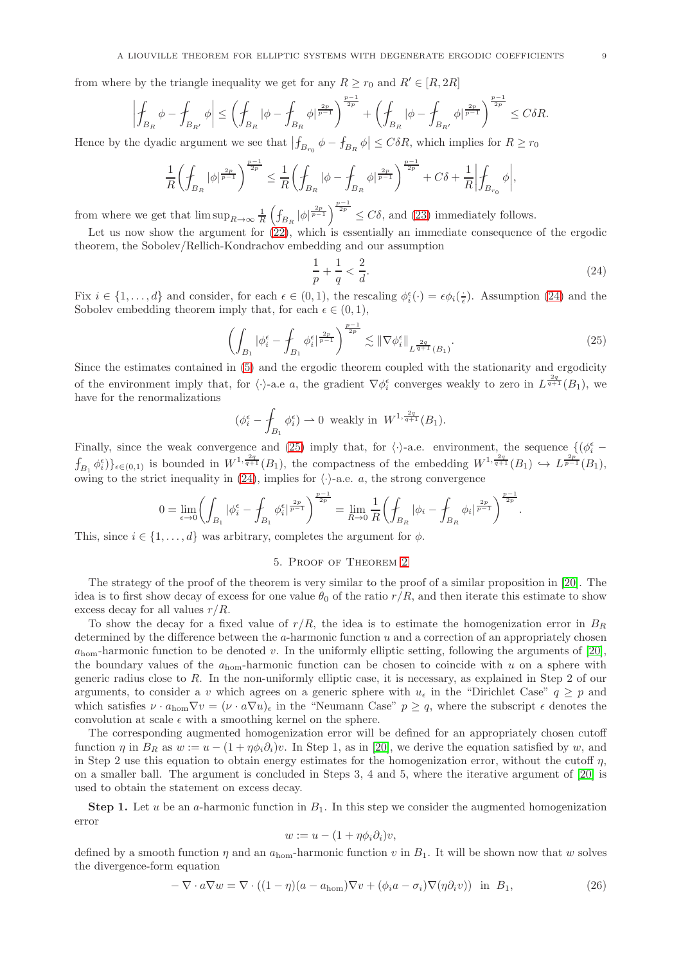from where by the triangle inequality we get for any  $R \ge r_0$  and  $R' \in [R, 2R]$ 

$$
\left|\int_{B_R} \phi - \int_{B_{R'}} \phi \right| \leq \left(\int_{B_R} |\phi - \int_{B_R} \phi|^{\frac{2p}{p-1}} \right)^{\frac{p-1}{2p}} + \left(\int_{B_R} |\phi - \int_{B_{R'}} \phi|^{\frac{2p}{p-1}} \right)^{\frac{p-1}{2p}} \leq C \delta R.
$$

Hence by the dyadic argument we see that  $|f_{B_{r_0}}\phi - f_{B_R}\phi| \leq C\delta R$ , which implies for  $R \geq r_0$ 

$$
\frac{1}{R}\biggl(\int_{B_R}|\phi|^{\frac{2p}{p-1}}\biggr)^{\frac{p-1}{2p}}\leq \frac{1}{R}\biggl(\int_{B_R}|\phi-\int_{B_R}\phi|^{\frac{2p}{p-1}}\biggr)^{\frac{p-1}{2p}}+C\delta+\frac{1}{R}\biggl|\int_{B_{r_0}}\phi\biggr|,
$$

from where we get that  $\limsup_{R\to\infty} \frac{1}{R}\left(\int_{B_R} |\phi|^{\frac{2p}{p-1}}\right)^{\frac{p-1}{2p}} \leq C\delta$ , and [\(23\)](#page-7-2) immediately follows.

Let us now show the argument for  $(22)$ , which is essentially an immediate consequence of the ergodic theorem, the Sobolev/Rellich-Kondrachov embedding and our assumption

<span id="page-8-0"></span>
$$
\frac{1}{p} + \frac{1}{q} < \frac{2}{d}.\tag{24}
$$

Fix  $i \in \{1, ..., d\}$  and consider, for each  $\epsilon \in (0, 1)$ , the rescaling  $\phi_i^{\epsilon}(\cdot) = \epsilon \phi_i(\frac{\cdot}{\epsilon})$ . Assumption [\(24\)](#page-8-0) and the Sobolev embedding theorem imply that, for each  $\epsilon \in (0,1)$ ,

<span id="page-8-1"></span>
$$
\left(\int_{B_1} |\phi_i^{\epsilon} - \int_{B_1} \phi_i^{\epsilon}|^{\frac{2p}{p-1}} \right)^{\frac{p-1}{2p}} \lesssim \|\nabla \phi_i^{\epsilon}\|_{L^{\frac{2q}{q+1}}(B_1)}.
$$
\n(25)

Since the estimates contained in [\(5\)](#page-1-3) and the ergodic theorem coupled with the stationarity and ergodicity of the environment imply that, for  $\langle \cdot \rangle$ -a.e a, the gradient  $\nabla \phi_i^{\epsilon}$  converges weakly to zero in  $L^{\frac{2q}{q+1}}(B_1)$ , we have for the renormalizations

$$
(\phi_i^{\epsilon} - \int_{B_1} \phi_i^{\epsilon}) \rightharpoonup 0
$$
 weakly in  $W^{1, \frac{2q}{q+1}}(B_1)$ .

Finally, since the weak convergence and [\(25\)](#page-8-1) imply that, for  $\langle \cdot \rangle$ -a.e. environment, the sequence  $\{(\phi_i^{\epsilon} - \phi_i^{\epsilon})\}_{i=1}^{\infty}$  $f_{B_1} \phi_i^{\epsilon}$  =  $\phi_i^{\epsilon}$  =  $\phi_i^{(0)}$  is bounded in  $W^{1,\frac{2q}{q+1}}(B_1)$ , the compactness of the embedding  $W^{1,\frac{2q}{q+1}}(B_1) \hookrightarrow L^{\frac{2p}{p-1}}(B_1)$ , owing to the strict inequality in [\(24\)](#page-8-0), implies for  $\langle \cdot \rangle$ -a.e. a, the strong convergence

$$
0 = \lim_{\epsilon \to 0} \left( \int_{B_1} |\phi_i^{\epsilon} - \int_{B_1} \phi_i^{\epsilon}|^{\frac{2p}{p-1}} \right)^{\frac{p-1}{2p}} = \lim_{R \to 0} \frac{1}{R} \left( \int_{B_R} |\phi_i - \int_{B_R} \phi_i|^{\frac{2p}{p-1}} \right)^{\frac{p-1}{2p}}.
$$

This, since  $i \in \{1, \ldots, d\}$  was arbitrary, completes the argument for  $\phi$ .

## 5. Proof of Theorem [2](#page-2-1)

The strategy of the proof of the theorem is very similar to the proof of a similar proposition in [\[20\]](#page-16-1). The idea is to first show decay of excess for one value  $\theta_0$  of the ratio  $r/R$ , and then iterate this estimate to show excess decay for all values  $r/R$ .

To show the decay for a fixed value of  $r/R$ , the idea is to estimate the homogenization error in  $B_R$ determined by the difference between the  $a$ -harmonic function  $u$  and a correction of an appropriately chosen  $a_{\text{hom}}$ -harmonic function to be denoted v. In the uniformly elliptic setting, following the arguments of [\[20\]](#page-16-1), the boundary values of the  $a_{\text{hom}}$ -harmonic function can be chosen to coincide with u on a sphere with generic radius close to R. In the non-uniformly elliptic case, it is necessary, as explained in Step 2 of our arguments, to consider a v which agrees on a generic sphere with  $u_{\epsilon}$  in the "Dirichlet Case"  $q \geq p$  and which satisfies  $\nu \cdot a_{\text{hom}} \nabla v = (\nu \cdot a \nabla u)_\epsilon$  in the "Neumann Case"  $p \ge q$ , where the subscript  $\epsilon$  denotes the convolution at scale  $\epsilon$  with a smoothing kernel on the sphere.

The corresponding augmented homogenization error will be defined for an appropriately chosen cutoff function  $\eta$  in  $B_R$  as  $w := u - (1 + \eta \phi_i \partial_i)v$ . In Step 1, as in [\[20\]](#page-16-1), we derive the equation satisfied by w, and in Step 2 use this equation to obtain energy estimates for the homogenization error, without the cutoff  $\eta$ , on a smaller ball. The argument is concluded in Steps 3, 4 and 5, where the iterative argument of [\[20\]](#page-16-1) is used to obtain the statement on excess decay.

**Step 1.** Let u be an a-harmonic function in  $B_1$ . In this step we consider the augmented homogenization error

$$
w := u - (1 + \eta \phi_i \partial_i) v,
$$

defined by a smooth function  $\eta$  and an  $a_{\text{hom}}$ -harmonic function v in  $B_1$ . It will be shown now that w solves the divergence-form equation

<span id="page-8-2"></span>
$$
-\nabla \cdot a\nabla w = \nabla \cdot ((1-\eta)(a-a_{\text{hom}})\nabla v + (\phi_i a - \sigma_i)\nabla(\eta \partial_i v)) \text{ in } B_1,
$$
\n(26)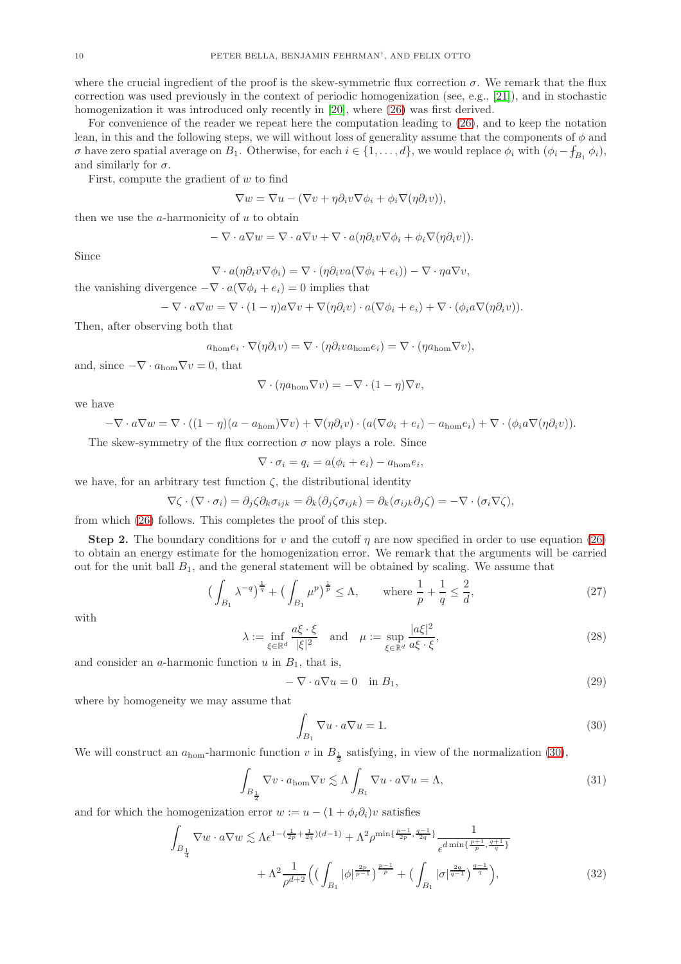where the crucial ingredient of the proof is the skew-symmetric flux correction  $\sigma$ . We remark that the flux correction was used previously in the context of periodic homogenization (see, e.g., [\[21\]](#page-16-22)), and in stochastic homogenization it was introduced only recently in [\[20\]](#page-16-1), where [\(26\)](#page-8-2) was first derived.

For convenience of the reader we repeat here the computation leading to [\(26\)](#page-8-2), and to keep the notation lean, in this and the following steps, we will without loss of generality assume that the components of  $\phi$  and *σ* have zero spatial average on  $B_1$ . Otherwise, for each  $i \in \{1, ..., d\}$ , we would replace  $\phi_i$  with  $(\phi_i - f_{B_1} \phi_i)$ , and similarly for  $\sigma$ .

First, compute the gradient of  $w$  to find

$$
\nabla w = \nabla u - (\nabla v + \eta \partial_i v \nabla \phi_i + \phi_i \nabla (\eta \partial_i v)),
$$

then we use the  $a$ -harmonicity of  $u$  to obtain

$$
-\nabla \cdot a\nabla w = \nabla \cdot a\nabla v + \nabla \cdot a(\eta\partial_i v \nabla \phi_i + \phi_i \nabla (\eta\partial_i v)).
$$

Since

 $\nabla \cdot a(\eta \partial_i v \nabla \phi_i) = \nabla \cdot (\eta \partial_i v a (\nabla \phi_i + e_i)) - \nabla \cdot \eta a \nabla v,$ 

the vanishing divergence  $-\nabla \cdot a(\nabla \phi_i + e_i) = 0$  implies that

$$
-\nabla \cdot a\nabla w = \nabla \cdot (1-\eta)a\nabla v + \nabla(\eta\partial_i v) \cdot a(\nabla \phi_i + e_i) + \nabla \cdot (\phi_i a\nabla(\eta\partial_i v)).
$$

Then, after observing both that

$$
a_{\text{hom}}e_i \cdot \nabla(\eta \partial_i v) = \nabla \cdot (\eta \partial_i v a_{\text{hom}} e_i) = \nabla \cdot (\eta a_{\text{hom}} \nabla v),
$$

and, since  $-\nabla \cdot a_{\text{hom}} \nabla v = 0$ , that

$$
\nabla \cdot (\eta a_{\text{hom}} \nabla v) = -\nabla \cdot (1 - \eta) \nabla v,
$$

we have

$$
-\nabla \cdot a\nabla w = \nabla \cdot ((1-\eta)(a-a_{\text{hom}})\nabla v) + \nabla(\eta\partial_i v) \cdot (a(\nabla \phi_i + e_i) - a_{\text{hom}}e_i) + \nabla \cdot (\phi_i a \nabla(\eta\partial_i v)).
$$

The skew-symmetry of the flux correction  $\sigma$  now plays a role. Since

$$
\nabla \cdot \sigma_i = q_i = a(\phi_i + e_i) - a_{\text{hom}}e_i,
$$

we have, for an arbitrary test function  $\zeta$ , the distributional identity

$$
\nabla \zeta \cdot (\nabla \cdot \sigma_i) = \partial_j \zeta \partial_k \sigma_{ijk} = \partial_k (\partial_j \zeta \sigma_{ijk}) = \partial_k (\sigma_{ijk} \partial_j \zeta) = -\nabla \cdot (\sigma_i \nabla \zeta),
$$

from which [\(26\)](#page-8-2) follows. This completes the proof of this step.

**Step 2.** The boundary conditions for v and the cutoff  $\eta$  are now specified in order to use equation [\(26\)](#page-8-2) to obtain an energy estimate for the homogenization error. We remark that the arguments will be carried out for the unit ball  $B_1$ , and the general statement will be obtained by scaling. We assume that

<span id="page-9-1"></span>
$$
\left(\int_{B_1} \lambda^{-q}\right)^{\frac{1}{q}} + \left(\int_{B_1} \mu^p\right)^{\frac{1}{p}} \le \Lambda, \quad \text{where } \frac{1}{p} + \frac{1}{q} \le \frac{2}{d},\tag{27}
$$

with

<span id="page-9-2"></span>
$$
\lambda := \inf_{\xi \in \mathbb{R}^d} \frac{a\xi \cdot \xi}{|\xi|^2} \quad \text{and} \quad \mu := \sup_{\xi \in \mathbb{R}^d} \frac{|a\xi|^2}{a\xi \cdot \xi},\tag{28}
$$

and consider an  $a$ -harmonic function  $u$  in  $B_1$ , that is,

<span id="page-9-4"></span>
$$
-\nabla \cdot a\nabla u = 0 \quad \text{in } B_1,\tag{29}
$$

where by homogeneity we may assume that

<span id="page-9-5"></span><span id="page-9-0"></span>
$$
\int_{B_1} \nabla u \cdot a \nabla u = 1. \tag{30}
$$

We will construct an  $a_{\text{hom}}$ -harmonic function v in  $B_{\frac{1}{2}}$  satisfying, in view of the normalization [\(30\)](#page-9-0),

<span id="page-9-3"></span>
$$
\int_{B_{\frac{1}{2}}} \nabla v \cdot a_{\text{hom}} \nabla v \lesssim \Lambda \int_{B_1} \nabla u \cdot a \nabla u = \Lambda,\tag{31}
$$

and for which the homogenization error  $w := u - (1 + \phi_i \partial_i)v$  satisfies

$$
\int_{B_{\frac{1}{4}}} \nabla w \cdot a \nabla w \lesssim \Lambda \epsilon^{1 - (\frac{1}{2p} + \frac{1}{2q})(d-1)} + \Lambda^2 \rho^{\min\{\frac{p-1}{2p}, \frac{q-1}{2q}\}} \frac{1}{\epsilon^{d \min\{\frac{p+1}{p}, \frac{q+1}{q}\}}} + \Lambda^2 \frac{1}{\rho^{d+2}} \left( \left( \int_{B_1} |\phi|^{\frac{2p}{p-1}} \right)^{\frac{p-1}{p}} + \left( \int_{B_1} |\sigma|^{\frac{2q}{q-1}} \right)^{\frac{q-1}{q}} \right), \tag{32}
$$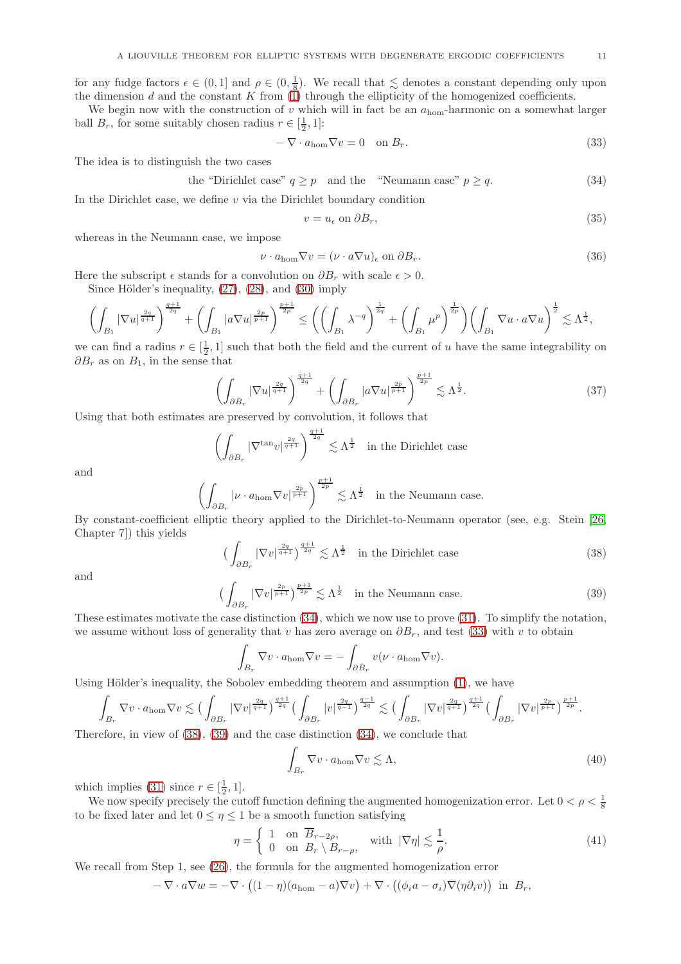for any fudge factors  $\epsilon \in (0,1]$  and  $\rho \in (0,\frac{1}{8})$ . We recall that  $\leq$  denotes a constant depending only upon the dimension d and the constant K from  $(1)$  through the ellipticity of the homogenized coefficients.

We begin now with the construction of v which will in fact be an  $a_{\text{hom}}$ -harmonic on a somewhat larger ball  $B_r$ , for some suitably chosen radius  $r \in [\frac{1}{2}, 1]$ :

<span id="page-10-1"></span>
$$
-\nabla \cdot a_{\text{hom}} \nabla v = 0 \quad \text{on } B_r. \tag{33}
$$

The idea is to distinguish the two cases

<span id="page-10-0"></span>the "Dirichlet case" 
$$
q \ge p
$$
 and the "Neumann case"  $p \ge q$ . (34)

In the Dirichlet case, we define  $v$  via the Dirichlet boundary condition

<span id="page-10-8"></span>
$$
v = u_{\epsilon} \text{ on } \partial B_r,\tag{35}
$$

whereas in the Neumann case, we impose

<span id="page-10-7"></span>
$$
\nu \cdot a_{\text{hom}} \nabla v = (\nu \cdot a \nabla u)_{\epsilon} \text{ on } \partial B_r. \tag{36}
$$

Here the subscript  $\epsilon$  stands for a convolution on  $\partial B_r$  with scale  $\epsilon > 0$ .

Since Hölder's inequality,  $(27)$ ,  $(28)$ , and  $(30)$  imply

$$
\left(\int_{B_1}|\nabla u|^{\frac{2q}{q+1}}\right)^{\frac{q+1}{2q}}+\left(\int_{B_1}|a\nabla u|^{\frac{2p}{p+1}}\right)^{\frac{p+1}{2p}}\leq\left(\left(\int_{B_1}\lambda^{-q}\right)^{\frac{1}{2q}}+\left(\int_{B_1}\mu^p\right)^{\frac{1}{2p}}\right)\left(\int_{B_1}\nabla u\cdot a\nabla u\right)^{\frac{1}{2}}\lesssim \Lambda^{\frac{1}{2}},
$$

we can find a radius  $r \in [\frac{1}{2}, 1]$  such that both the field and the current of u have the same integrability on  $\partial B_r$  as on  $B_1$ , in the sense that

<span id="page-10-6"></span>
$$
\left(\int_{\partial B_r} |\nabla u|^{\frac{2q}{q+1}}\right)^{\frac{q+1}{2q}} + \left(\int_{\partial B_r} |a\nabla u|^{\frac{2p}{p+1}}\right)^{\frac{p+1}{2p}} \lesssim \Lambda^{\frac{1}{2}}.
$$
\n
$$
\text{as measured by coupling, it follows that}
$$
\n
$$
(37)
$$

Using that both estimates are preserved by convolution, it follows that

$$
\left(\int_{\partial B_r} |\nabla^{\tan} v|^{\frac{2q}{q+1}}\right)^{\frac{q+1}{2q}} \lesssim \Lambda^{\frac{1}{2}} \quad \text{in the Dirichlet case}
$$

and

$$
\left(\int_{\partial B_r} |\nu \cdot a_{\text{hom}} \nabla v|^{\frac{2p}{p+1}}\right)^{\frac{p+1}{2p}} \lesssim \Lambda^{\frac{1}{2}}
$$
 in the Neumann case.

By constant-coefficient elliptic theory applied to the Dirichlet-to-Neumann operator (see, e.g. Stein [\[26,](#page-17-3) Chapter 7]) this yields

<span id="page-10-2"></span>
$$
\left(\int_{\partial B_r} |\nabla v|^{\frac{2q}{q+1}}\right)^{\frac{q+1}{2q}} \lesssim \Lambda^{\frac{1}{2}} \quad \text{in the Dirichlet case} \tag{38}
$$

and

<span id="page-10-3"></span>
$$
\left(\int_{\partial B_r} |\nabla v|^{\frac{2p}{p+1}}\right)^{\frac{p+1}{2p}} \lesssim \Lambda^{\frac{1}{2}} \quad \text{in the Neumann case.} \tag{39}
$$

These estimates motivate the case distinction [\(34\)](#page-10-0), which we now use to prove [\(31\)](#page-9-3). To simplify the notation, we assume without loss of generality that v has zero average on  $\partial B_r$ , and test [\(33\)](#page-10-1) with v to obtain

$$
\int_{B_r} \nabla v \cdot a_{\text{hom}} \nabla v = - \int_{\partial B_r} v(\nu \cdot a_{\text{hom}} \nabla v).
$$

Using Hölder's inequality, the Sobolev embedding theorem and assumption  $(1)$ , we have

$$
\int_{B_r} \nabla v \cdot a_{\text{hom}} \nabla v \lesssim \big(\int_{\partial B_r} |\nabla v|^{\frac{2q}{q+1}}\big)^{\frac{q+1}{2q}} \big(\int_{\partial B_r} |v|^{\frac{2q}{q-1}}\big)^{\frac{q-1}{2q}} \lesssim \big(\int_{\partial B_r} |\nabla v|^{\frac{2q}{q+1}}\big)^{\frac{q+1}{2q}} \big(\int_{\partial B_r} |\nabla v|^{\frac{2p}{p+1}}\big)^{\frac{p+1}{2p}}.
$$

Therefore, in view of [\(38\)](#page-10-2), [\(39\)](#page-10-3) and the case distinction [\(34\)](#page-10-0), we conclude that

<span id="page-10-5"></span>
$$
\int_{B_r} \nabla v \cdot a_{\text{hom}} \nabla v \lesssim \Lambda,\tag{40}
$$

which implies [\(31\)](#page-9-3) since  $r \in [\frac{1}{2}, 1]$ .

We now specify precisely the cutoff function defining the augmented homogenization error. Let  $0 < \rho < \frac{1}{8}$ to be fixed later and let  $0 \leq \eta \leq 1$  be a smooth function satisfying

<span id="page-10-4"></span>
$$
\eta = \begin{cases} 1 & \text{on } \overline{B}_{r-2\rho}, \\ 0 & \text{on } B_r \setminus B_{r-\rho}, \end{cases} \quad \text{with } |\nabla \eta| \lesssim \frac{1}{\rho}.
$$
 (41)

We recall from Step 1, see [\(26\)](#page-8-2), the formula for the augmented homogenization error

$$
-\nabla \cdot a\nabla w = -\nabla \cdot \left( (1-\eta)(a_{\text{hom}} - a)\nabla v \right) + \nabla \cdot \left( (\phi_i a - \sigma_i)\nabla (\eta \partial_i v) \right) \text{ in } B_r,
$$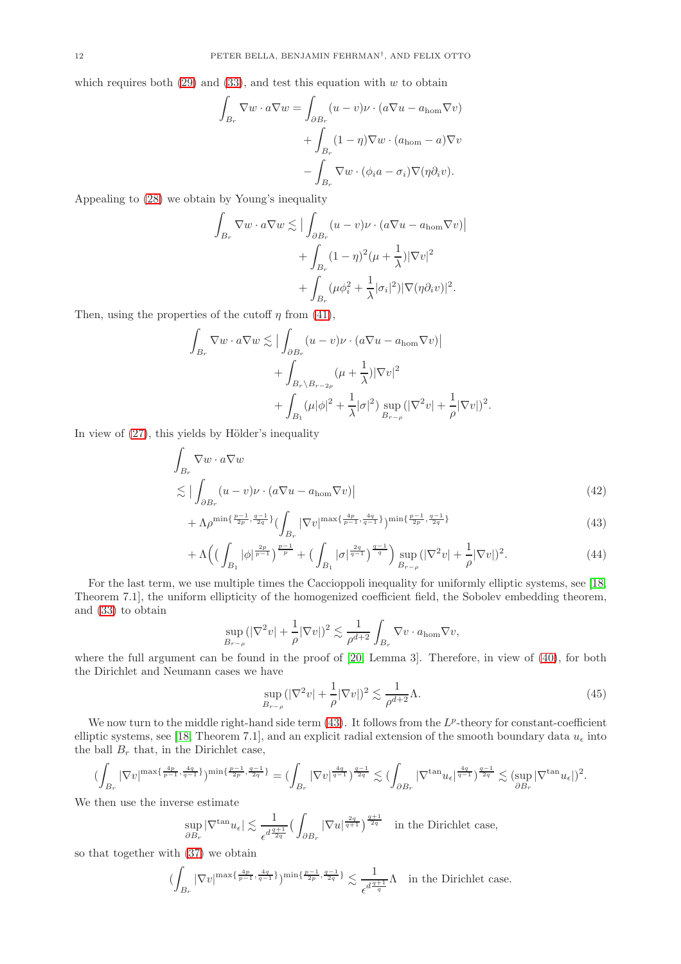which requires both  $(29)$  and  $(33)$ , and test this equation with w to obtain

$$
\int_{B_r} \nabla w \cdot a \nabla w = \int_{\partial B_r} (u - v) \nu \cdot (a \nabla u - a_{\text{hom}} \nabla v)
$$

$$
+ \int_{B_r} (1 - \eta) \nabla w \cdot (a_{\text{hom}} - a) \nabla v
$$

$$
- \int_{B_r} \nabla w \cdot (\phi_i a - \sigma_i) \nabla (\eta \partial_i v).
$$

Appealing to [\(28\)](#page-9-2) we obtain by Young's inequality

$$
\int_{B_r} \nabla w \cdot a \nabla w \lesssim \left| \int_{\partial B_r} (u - v) \nu \cdot (a \nabla u - a_{\text{hom}} \nabla v) \right|
$$

$$
+ \int_{B_r} (1 - \eta)^2 (\mu + \frac{1}{\lambda}) |\nabla v|^2
$$

$$
+ \int_{B_r} (\mu \phi_i^2 + \frac{1}{\lambda} |\sigma_i|^2) |\nabla (\eta \partial_i v)|^2.
$$

Then, using the properties of the cutoff  $\eta$  from [\(41\)](#page-10-4),

$$
\int_{B_r} \nabla w \cdot a \nabla w \lesssim \left| \int_{\partial B_r} (u - v) \nu \cdot (a \nabla u - a_{\text{hom}} \nabla v) \right|
$$
  
+ 
$$
\int_{B_r \backslash B_{r-2\rho}} (\mu + \frac{1}{\lambda}) |\nabla v|^2
$$
  
+ 
$$
\int_{B_1} (\mu |\phi|^2 + \frac{1}{\lambda} |\sigma|^2) \sup_{B_{r-\rho}} (|\nabla^2 v| + \frac{1}{\rho} |\nabla v|)^2.
$$

In view of  $(27)$ , this yields by Hölder's inequality

$$
\int_{B_r} \nabla w \cdot a \nabla w
$$
\n
$$
\lesssim \left| \int_{\partial B_r} (u - v) \nu \cdot (a \nabla u - a_{\text{hom}} \nabla v) \right|
$$
\n(42)

$$
+\Lambda \rho^{\min\{\frac{p-1}{2p},\frac{q-1}{2q}\}}(\int_{B_r}|\nabla v|^{\max\{\frac{4p}{p-1},\frac{4q}{q-1}\}})^{\min\{\frac{p-1}{2p},\frac{q-1}{2q}\}} \tag{43}
$$

$$
+\Lambda \Big( \big(\int_{B_1} |\phi|^{\frac{2p}{p-1}} \big)^{\frac{p-1}{p}} + \big(\int_{B_1} |\sigma|^{\frac{2q}{q-1}} \big)^{\frac{q-1}{q}} \Big) \sup_{B_{r-\rho}} (|\nabla^2 v| + \frac{1}{\rho} |\nabla v|)^2. \tag{44}
$$

For the last term, we use multiple times the Caccioppoli inequality for uniformly elliptic systems, see [\[18,](#page-16-7) Theorem 7.1], the uniform ellipticity of the homogenized coefficient field, the Sobolev embedding theorem, and [\(33\)](#page-10-1) to obtain

$$
\sup_{B_{r-\rho}} (|\nabla^2 v| + \frac{1}{\rho} |\nabla v|)^2 \lesssim \frac{1}{\rho^{d+2}} \int_{B_r} \nabla v \cdot a_{\text{hom}} \nabla v,
$$

where the full argument can be found in the proof of [\[20,](#page-16-1) Lemma 3]. Therefore, in view of [\(40\)](#page-10-5), for both the Dirichlet and Neumann cases we have

<span id="page-11-3"></span><span id="page-11-2"></span><span id="page-11-1"></span><span id="page-11-0"></span>
$$
\sup_{B_{r-\rho}} (|\nabla^2 v| + \frac{1}{\rho} |\nabla v|)^2 \lesssim \frac{1}{\rho^{d+2}} \Lambda.
$$
\n(45)

We now turn to the middle right-hand side term  $(43)$ . It follows from the  $L^p$ -theory for constant-coefficient elliptic systems, see [\[18,](#page-16-7) Theorem 7.1], and an explicit radial extension of the smooth boundary data  $u_{\epsilon}$  into the ball  $B_r$  that, in the Dirichlet case,

$$
(\int_{B_r}|\nabla v|^{ \max\{\frac{4p}{p-1},\frac{4q}{q-1}\}})^{\min\{\frac{p-1}{2p},\frac{q-1}{2q}\}}=(\int_{B_r}|\nabla v|^{\frac{4q}{q-1}})^{\frac{q-1}{2q}}\lesssim (\int_{\partial B_r}|\nabla^{\tan}u_{\epsilon}|^{\frac{4q}{q-1}})^{\frac{q-1}{2q}}\lesssim (\sup_{\partial B_r}|\nabla^{\tan}u_{\epsilon}|)^2.
$$

We then use the inverse estimate

$$
\sup_{\partial B_r} |\nabla^{\tan} u_{\epsilon}| \lesssim \frac{1}{\epsilon^{d \frac{q+1}{2q}}} \big(\int_{\partial B_r} |\nabla u|^{\frac{2q}{q+1}}\big)^{\frac{q+1}{2q}} \quad \text{in the Dirichlet case,}
$$

so that together with [\(37\)](#page-10-6) we obtain

$$
(\int_{B_r}|\nabla v|^{ \max\{\frac{4p}{p-1},\frac{4q}{q-1}\}})^{\min\{\frac{p-1}{2p},\frac{q-1}{2q}\}}\lesssim \frac{1}{\epsilon^{d\frac{q+1}{q}}}\Lambda\quad\text{in the Dirichlet case.}
$$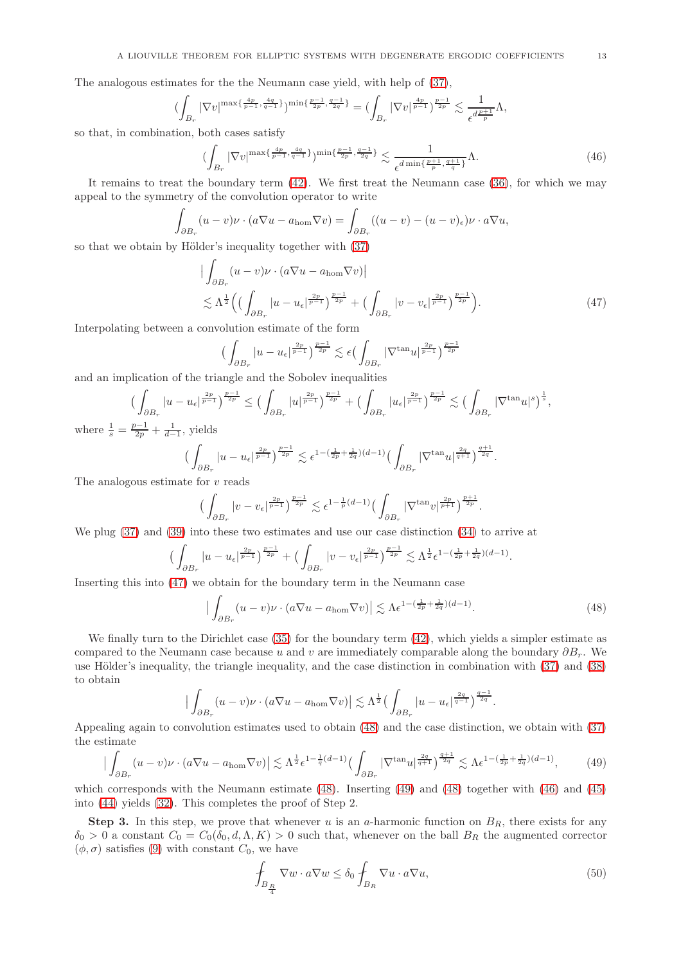The analogous estimates for the the Neumann case yield, with help of [\(37\)](#page-10-6),

$$
(\int_{B_r}|\nabla v|^{ \max\{\frac{4p}{p-1},\frac{4q}{q-1}\}})^{\min\{\frac{p-1}{2p},\frac{q-1}{2q}\}}=(\int_{B_r}|\nabla v|^{\frac{4p}{p-1}})^{\frac{p-1}{2p}}\lesssim \frac{1}{\epsilon^{d\frac{p+1}{p}}}\Lambda,
$$

so that, in combination, both cases satisfy

<span id="page-12-3"></span>
$$
\left(\int_{B_r} |\nabla v|^{ \max\{\frac{4p}{p-1}, \frac{4q}{q-1}\}} \right)^{\min\{\frac{p-1}{2p}, \frac{q-1}{2q}\}} \lesssim \frac{1}{\epsilon^{d \min\{\frac{p+1}{p}, \frac{q+1}{q}\}}} \Lambda. \tag{46}
$$

It remains to treat the boundary term [\(42\)](#page-11-1). We first treat the Neumann case [\(36\)](#page-10-7), for which we may appeal to the symmetry of the convolution operator to write

$$
\int_{\partial B_r} (u-v)\nu \cdot (a\nabla u - a_{\text{hom}}\nabla v) = \int_{\partial B_r} ((u-v) - (u-v)_{\epsilon})\nu \cdot a\nabla u,
$$

so that we obtain by Hölder's inequality together with  $(37)$ 

$$
\left| \int_{\partial B_r} (u - v) \nu \cdot (a \nabla u - a_{\text{hom}} \nabla v) \right|
$$
  
\$\leq \Lambda^{\frac{1}{2}} \left( \left( \int\_{\partial B\_r} |u - u\_{\epsilon}|^{\frac{2p}{p-1}} \right)^{\frac{p-1}{2p}} + \left( \int\_{\partial B\_r} |v - v\_{\epsilon}|^{\frac{2p}{p-1}} \right)^{\frac{p-1}{2p}} \right).\$ (47)

Interpolating between a convolution estimate of the form

$$
\Big(\int_{\partial B_r} |u - u_\epsilon|^{\frac{2p}{p-1}}\Big)^{\frac{p-1}{2p}} \lesssim \epsilon \Big(\int_{\partial B_r} |\nabla^{\tan} u|^{\frac{2p}{p-1}}\Big)^{\frac{p-1}{2p}}
$$

and an implication of the triangle and the Sobolev inequalities

$$
\left(\int_{\partial B_r} |u - u_{\epsilon}|^{\frac{2p}{p-1}}\right)^{\frac{p-1}{2p}} \leq \left(\int_{\partial B_r} |u|^{\frac{2p}{p-1}}\right)^{\frac{p-1}{2p}} + \left(\int_{\partial B_r} |u_{\epsilon}|^{\frac{2p}{p-1}}\right)^{\frac{p-1}{2p}} \lesssim \left(\int_{\partial B_r} |\nabla^{\tan} u|^s\right)^{\frac{1}{s}},
$$

where  $\frac{1}{s} = \frac{p-1}{2p} + \frac{1}{d-1}$ , yields

$$
\Big(\int_{\partial B_r} |u-u_\epsilon|^{\frac{2p}{p-1}}\Big)^{\frac{p-1}{2p}}\lesssim \epsilon^{1-(\frac{1}{2p}+\frac{1}{2q})(d-1)}\Big(\int_{\partial B_r} |\nabla^{\tan}u|^{\frac{2q}{q+1}}\Big)^{\frac{q+1}{2q}}
$$

The analogous estimate for  $v$  reads

$$
\Big(\int_{\partial B_r} |v-v_\epsilon|^{\frac{2p}{p-1}}\Big)^{\frac{p-1}{2p}}\lesssim \epsilon^{1-\frac{1}{p}(d-1)}\Big(\int_{\partial B_r} |\nabla^{\tan}v|^{\frac{2p}{p+1}}\Big)^{\frac{p+1}{2p}}.
$$

We plug [\(37\)](#page-10-6) and [\(39\)](#page-10-3) into these two estimates and use our case distinction [\(34\)](#page-10-0) to arrive at

$$
\Big(\int_{\partial B_r} |u - u_\epsilon|^{\frac{2p}{p-1}}\Big)^{\frac{p-1}{2p}} + \Big(\int_{\partial B_r} |v - v_\epsilon|^{\frac{2p}{p-1}}\Big)^{\frac{p-1}{2p}} \lesssim \Lambda^{\frac{1}{2}} \epsilon^{1-(\frac{1}{2p}+\frac{1}{2q})(d-1)}
$$

Inserting this into [\(47\)](#page-12-0) we obtain for the boundary term in the Neumann case

$$
\left| \int_{\partial B_r} (u - v) \nu \cdot (a \nabla u - a_{\text{hom}} \nabla v) \right| \lesssim \Lambda \epsilon^{1 - (\frac{1}{2p} + \frac{1}{2q})(d-1)}.
$$
 (48)

<span id="page-12-0"></span>.

<span id="page-12-1"></span>.

.

We finally turn to the Dirichlet case [\(35\)](#page-10-8) for the boundary term [\(42\)](#page-11-1), which yields a simpler estimate as compared to the Neumann case because u and v are immediately comparable along the boundary  $\partial B_r$ . We use Hölder's inequality, the triangle inequality, and the case distinction in combination with [\(37\)](#page-10-6) and [\(38\)](#page-10-2) to obtain

$$
\big|\int_{\partial B_r} (u-v) \nu \cdot (a \nabla u - a_{\text{hom}} \nabla v)\big| \lesssim \Lambda^{\frac{1}{2}} \big(\int_{\partial B_r} |u-u_\epsilon|^{\frac{2q}{q-1}} \big)^{\frac{q-1}{2q}}
$$

Appealing again to convolution estimates used to obtain [\(48\)](#page-12-1) and the case distinction, we obtain with [\(37\)](#page-10-6) the estimate

<span id="page-12-2"></span>
$$
\left| \int_{\partial B_r} (u-v)\nu \cdot (a\nabla u - a_{\text{hom}} \nabla v) \right| \lesssim \Lambda^{\frac{1}{2}} \epsilon^{1-\frac{1}{q}(d-1)} \left( \int_{\partial B_r} |\nabla^{\tan} u|^{\frac{2q}{q+1}} \right)^{\frac{q+1}{2q}} \lesssim \Lambda \epsilon^{1-(\frac{1}{2p}+\frac{1}{2q})(d-1)},\tag{49}
$$

which corresponds with the Neumann estimate [\(48\)](#page-12-1). Inserting [\(49\)](#page-12-2) and [\(48\)](#page-12-1) together with [\(46\)](#page-12-3) and [\(45\)](#page-11-2) into [\(44\)](#page-11-3) yields [\(32\)](#page-9-5). This completes the proof of Step 2.

**Step 3.** In this step, we prove that whenever u is an a-harmonic function on  $B_R$ , there exists for any  $\delta_0 > 0$  a constant  $C_0 = C_0(\delta_0, d, \Lambda, K) > 0$  such that, whenever on the ball  $B_R$  the augmented corrector  $(\phi, \sigma)$  satisfies [\(9\)](#page-3-1) with constant  $C_0$ , we have

<span id="page-12-4"></span>
$$
\oint_{B_{\frac{R}{4}}}\nabla w \cdot a\nabla w \le \delta_0 \oint_{B_R}\nabla u \cdot a\nabla u,\tag{50}
$$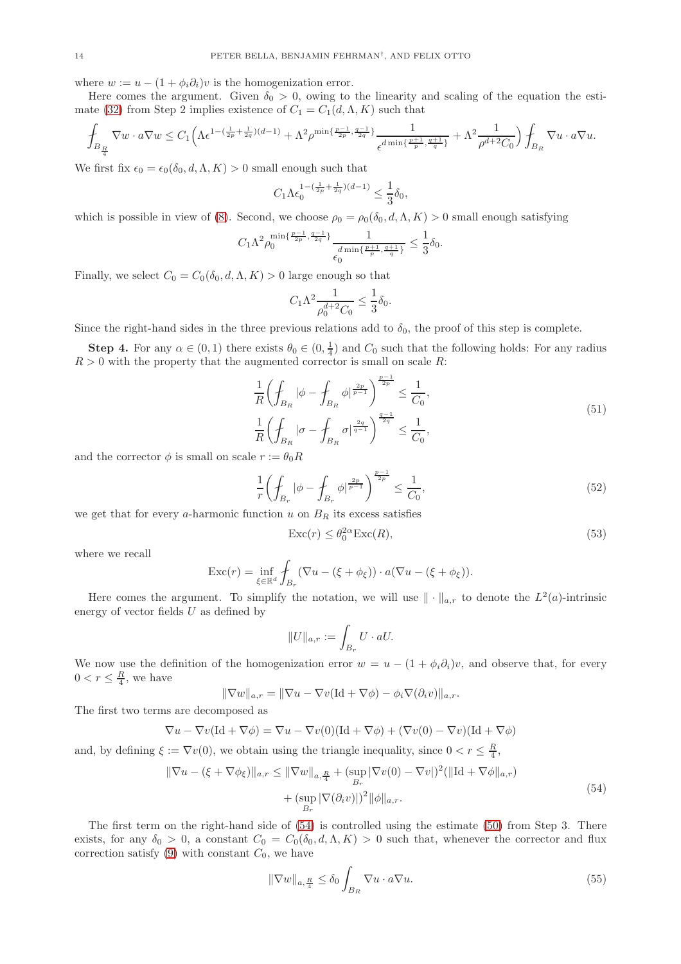where  $w := u - (1 + \phi_i \partial_i)v$  is the homogenization error.

Here comes the argument. Given  $\delta_0 > 0$ , owing to the linearity and scaling of the equation the esti-mate [\(32\)](#page-9-5) from Step 2 implies existence of  $C_1 = C_1(d, \Lambda, K)$  such that

$$
\int_{B_{\frac{R}{4}}}\nabla w\cdot a\nabla w\leq C_1\Big(\Lambda\epsilon^{1-(\frac{1}{2p}+\frac{1}{2q})(d-1)}+\Lambda^2\rho^{\min\{\frac{p-1}{2p},\frac{q-1}{2q}\}}\frac{1}{\epsilon^{d\min\{\frac{p+1}{p},\frac{q+1}{q}\}}}+\Lambda^2\frac{1}{\rho^{d+2}C_0}\Big)\int_{B_R}\nabla u\cdot a\nabla u.
$$

We first fix  $\epsilon_0 = \epsilon_0(\delta_0, d, \Lambda, K) > 0$  small enough such that

$$
C_1 \Lambda \epsilon_0^{1 - (\frac{1}{2p} + \frac{1}{2q})(d-1)} \le \frac{1}{3} \delta_0,
$$

which is possible in view of [\(8\)](#page-2-4). Second, we choose  $\rho_0 = \rho_0(\delta_0, d, \Lambda, K) > 0$  small enough satisfying

$$
C_1\Lambda^2\rho_0^{\min\{\frac{p-1}{2p},\frac{q-1}{2q}\}}\frac{1}{\epsilon_0^{\dim\{\frac{p+1}{p},\frac{q+1}{q}\}}} \le \frac{1}{3}\delta_0.
$$

Finally, we select  $C_0 = C_0(\delta_0, d, \Lambda, K) > 0$  large enough so that

$$
C_1 \Lambda^2 \frac{1}{\rho_0^{d+2} C_0} \le \frac{1}{3} \delta_0.
$$

Since the right-hand sides in the three previous relations add to  $\delta_0$ , the proof of this step is complete.

**Step 4.** For any  $\alpha \in (0,1)$  there exists  $\theta_0 \in (0,\frac{1}{4})$  and  $C_0$  such that the following holds: For any radius  $R > 0$  with the property that the augmented corrector is small on scale R:

$$
\frac{1}{R} \left( \oint_{B_R} |\phi - \oint_{B_R} \phi|^{\frac{2p}{p-1}} \right)^{\frac{p-1}{2p}} \le \frac{1}{C_0},
$$
\n
$$
\frac{1}{R} \left( \oint_{B_R} |\sigma - \oint_{B_R} \sigma|^{\frac{2q}{q-1}} \right)^{\frac{q-1}{2q}} \le \frac{1}{C_0},
$$
\n(51)

and the corrector  $\phi$  is small on scale  $r := \theta_0 R$ 

$$
\frac{1}{r} \left( \oint_{B_r} |\phi - \oint_{B_r} \phi|^{\frac{2p}{p-1}} \right)^{\frac{p-1}{2p}} \le \frac{1}{C_0},\tag{52}
$$

we get that for every a-harmonic function  $u$  on  $B_R$  its excess satisfies

<span id="page-13-2"></span>
$$
\operatorname{Exc}(r) \le \theta_0^{2\alpha} \operatorname{Exc}(R),\tag{53}
$$

where we recall

$$
\operatorname{Exc}(r) = \inf_{\xi \in \mathbb{R}^d} \int_{B_r} (\nabla u - (\xi + \phi_{\xi})) \cdot a(\nabla u - (\xi + \phi_{\xi})).
$$

Here comes the argument. To simplify the notation, we will use  $\|\cdot\|_{a,r}$  to denote the  $L^2(a)$ -intrinsic energy of vector fields  $U$  as defined by

$$
||U||_{a,r} := \int_{B_r} U \cdot aU.
$$

We now use the definition of the homogenization error  $w = u - (1 + \phi_i \partial_i)v$ , and observe that, for every  $0 < r \leq \frac{R}{4}$ , we have

$$
\|\nabla w\|_{a,r} = \|\nabla u - \nabla v(\text{Id} + \nabla \phi) - \phi_i \nabla (\partial_i v)\|_{a,r}.
$$

The first two terms are decomposed as

$$
\nabla u - \nabla v (\text{Id} + \nabla \phi) = \nabla u - \nabla v(0)(\text{Id} + \nabla \phi) + (\nabla v(0) - \nabla v)(\text{Id} + \nabla \phi)
$$

and, by defining  $\xi := \nabla v(0)$ , we obtain using the triangle inequality, since  $0 < r \leq \frac{R}{4}$ ,

<span id="page-13-0"></span>
$$
\|\nabla u - (\xi + \nabla \phi_{\xi})\|_{a,r} \le \|\nabla w\|_{a,\frac{R}{4}} + (\sup_{B_r} |\nabla v(0) - \nabla v|)^2 (\|\mathrm{Id} + \nabla \phi\|_{a,r}) + (\sup_{B_r} |\nabla (\partial_i v)|)^2 \|\phi\|_{a,r}.
$$
\n(54)

The first term on the right-hand side of [\(54\)](#page-13-0) is controlled using the estimate [\(50\)](#page-12-4) from Step 3. There exists, for any  $\delta_0 > 0$ , a constant  $C_0 = C_0(\delta_0, d, \Lambda, K) > 0$  such that, whenever the corrector and flux correction satisfy  $(9)$  with constant  $C_0$ , we have

<span id="page-13-1"></span>
$$
\|\nabla w\|_{a,\frac{R}{4}} \le \delta_0 \int_{B_R} \nabla u \cdot a \nabla u. \tag{55}
$$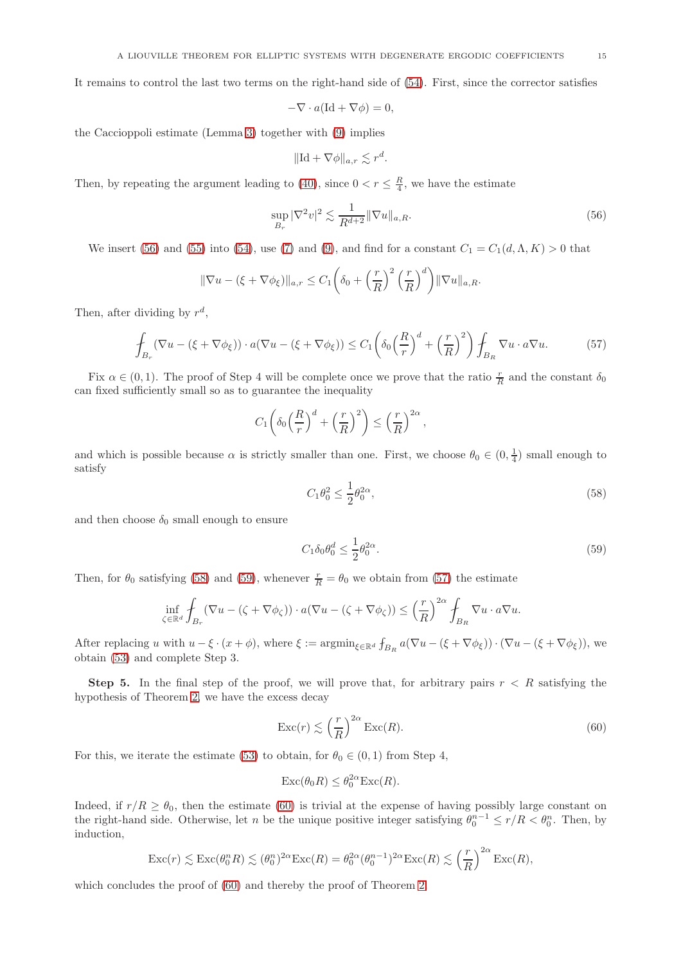It remains to control the last two terms on the right-hand side of [\(54\)](#page-13-0). First, since the corrector satisfies

$$
-\nabla \cdot a(\mathrm{Id} + \nabla \phi) = 0,
$$

the Caccioppoli estimate (Lemma [3\)](#page-3-0) together with [\(9\)](#page-3-1) implies

$$
\|\mathrm{Id} + \nabla \phi\|_{a,r} \lesssim r^d.
$$

Then, by repeating the argument leading to [\(40\)](#page-10-5), since  $0 < r \leq \frac{R}{4}$ , we have the estimate

<span id="page-14-0"></span>
$$
\sup_{B_r} |\nabla^2 v|^2 \lesssim \frac{1}{R^{d+2}} \|\nabla u\|_{a,R}.\tag{56}
$$

We insert [\(56\)](#page-14-0) and [\(55\)](#page-13-1) into [\(54\)](#page-13-0), use [\(7\)](#page-2-3) and [\(9\)](#page-3-1), and find for a constant  $C_1 = C_1(d, \Lambda, K) > 0$  that

$$
\|\nabla u - (\xi + \nabla \phi_{\xi})\|_{a,r} \leq C_1 \left(\delta_0 + \left(\frac{r}{R}\right)^2 \left(\frac{r}{R}\right)^d\right) \|\nabla u\|_{a,R}.
$$

Then, after dividing by  $r^d$ ,

<span id="page-14-3"></span>
$$
\oint_{B_r} (\nabla u - (\xi + \nabla \phi_{\xi})) \cdot a(\nabla u - (\xi + \nabla \phi_{\xi})) \le C_1 \left( \delta_0 \left( \frac{R}{r} \right)^d + \left( \frac{r}{R} \right)^2 \right) \oint_{B_R} \nabla u \cdot a \nabla u.
$$
\n(57)

Fix  $\alpha \in (0,1)$ . The proof of Step 4 will be complete once we prove that the ratio  $\frac{r}{R}$  and the constant  $\delta_0$ can fixed sufficiently small so as to guarantee the inequality

$$
C_1\left(\delta_0\left(\frac{R}{r}\right)^d+\left(\frac{r}{R}\right)^2\right)\leq\left(\frac{r}{R}\right)^{2\alpha},\,
$$

and which is possible because  $\alpha$  is strictly smaller than one. First, we choose  $\theta_0 \in (0, \frac{1}{4})$  small enough to satisfy

<span id="page-14-1"></span>
$$
C_1 \theta_0^2 \le \frac{1}{2} \theta_0^{2\alpha},\tag{58}
$$

and then choose  $\delta_0$  small enough to ensure

<span id="page-14-2"></span>
$$
C_1 \delta_0 \theta_0^d \le \frac{1}{2} \theta_0^{2\alpha}.\tag{59}
$$

Then, for  $\theta_0$  satisfying [\(58\)](#page-14-1) and [\(59\)](#page-14-2), whenever  $\frac{r}{R} = \theta_0$  we obtain from [\(57\)](#page-14-3) the estimate

$$
\inf_{\zeta \in \mathbb{R}^d} \int_{B_r} (\nabla u - (\zeta + \nabla \phi_{\zeta})) \cdot a(\nabla u - (\zeta + \nabla \phi_{\zeta})) \le \left(\frac{r}{R}\right)^{2\alpha} \int_{B_R} \nabla u \cdot a \nabla u.
$$

After replacing u with  $u - \xi \cdot (x + \phi)$ , where  $\xi := \operatorname{argmin}_{\xi \in \mathbb{R}^d} f_{B_R} a(\nabla u - (\xi + \nabla \phi_{\xi})) \cdot (\nabla u - (\xi + \nabla \phi_{\xi}))$ , we obtain [\(53\)](#page-13-2) and complete Step 3.

**Step 5.** In the final step of the proof, we will prove that, for arbitrary pairs  $r < R$  satisfying the hypothesis of Theorem [2,](#page-2-1) we have the excess decay

<span id="page-14-4"></span>
$$
\operatorname{Exc}(r) \lesssim \left(\frac{r}{R}\right)^{2\alpha} \operatorname{Exc}(R). \tag{60}
$$

For this, we iterate the estimate [\(53\)](#page-13-2) to obtain, for  $\theta_0 \in (0,1)$  from Step 4,

$$
\operatorname{Exc}(\theta_0 R) \le \theta_0^{2\alpha} \operatorname{Exc}(R).
$$

Indeed, if  $r/R \geq \theta_0$ , then the estimate [\(60\)](#page-14-4) is trivial at the expense of having possibly large constant on the right-hand side. Otherwise, let n be the unique positive integer satisfying  $\theta_0^{n-1} \le r/R < \theta_0^n$ . Then, by induction,

$$
\operatorname{Exc}(r) \lesssim \operatorname{Exc}(\theta_0^n R) \lesssim (\theta_0^n)^{2\alpha} \operatorname{Exc}(R) = \theta_0^{2\alpha} (\theta_0^{n-1})^{2\alpha} \operatorname{Exc}(R) \lesssim \left(\frac{r}{R}\right)^{2\alpha} \operatorname{Exc}(R),
$$

which concludes the proof of  $(60)$  and thereby the proof of Theorem [2.](#page-2-1)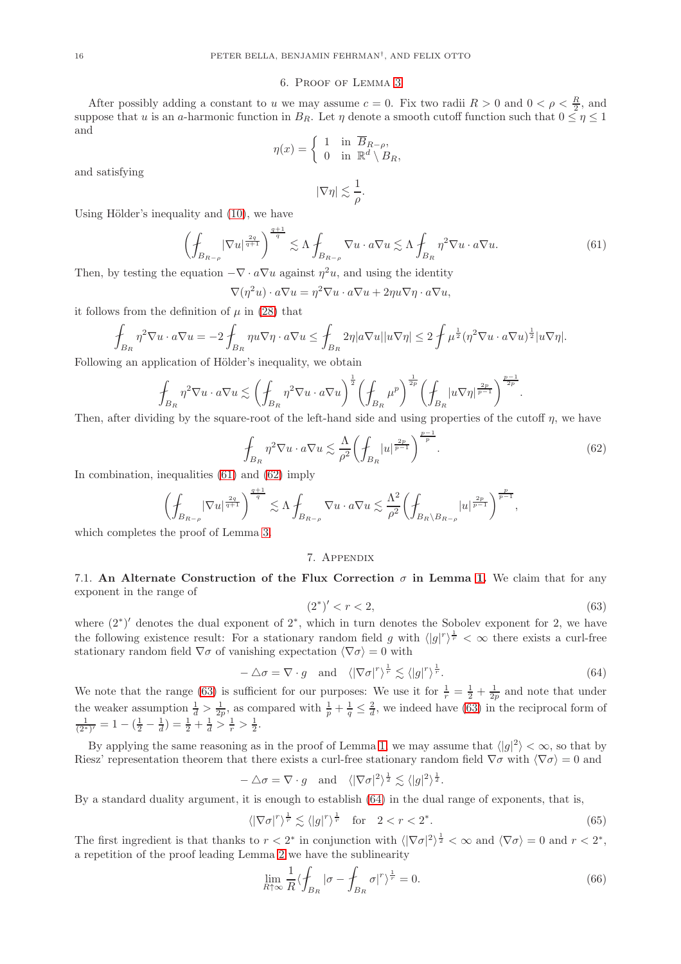#### 6. Proof of Lemma [3](#page-3-0)

After possibly adding a constant to u we may assume  $c = 0$ . Fix two radii  $R > 0$  and  $0 < \rho < \frac{R}{2}$ , and suppose that u is an a-harmonic function in  $B_R$ . Let  $\eta$  denote a smooth cutoff function such that  $0 \leq \eta \leq 1$ and

$$
\eta(x) = \begin{cases} 1 & \text{in } \overline{B}_{R-\rho}, \\ 0 & \text{in } \mathbb{R}^d \setminus B_R, \end{cases}
$$

and satisfying

 $|\nabla \eta| \lesssim \frac{1}{\alpha}$  $\frac{1}{\rho}$ .

Using Hölder's inequality and  $(10)$ , we have

<span id="page-15-0"></span>
$$
\left(\oint_{B_{R-\rho}} |\nabla u|^{\frac{2q}{q+1}}\right)^{\frac{q+1}{q}} \lesssim \Lambda \oint_{B_{R-\rho}} \nabla u \cdot a \nabla u \lesssim \Lambda \oint_{B_R} \eta^2 \nabla u \cdot a \nabla u. \tag{61}
$$

Then, by testing the equation  $-\nabla \cdot a\nabla u$  against  $\eta^2 u$ , and using the identity

$$
\nabla(\eta^2 u) \cdot a\nabla u = \eta^2 \nabla u \cdot a\nabla u + 2\eta u \nabla \eta \cdot a\nabla u,
$$

it follows from the definition of  $\mu$  in [\(28\)](#page-9-2) that

$$
\int_{B_R} \eta^2 \nabla u \cdot a \nabla u = -2 \int_{B_R} \eta u \nabla \eta \cdot a \nabla u \le \int_{B_R} 2\eta |a \nabla u| |u \nabla \eta| \le 2 \int \mu^{\frac{1}{2}} (\eta^2 \nabla u \cdot a \nabla u)^{\frac{1}{2}} |u \nabla \eta|.
$$

Following an application of Hölder's inequality, we obtain

$$
\int_{B_R} \eta^2 \nabla u \cdot a \nabla u \lesssim \left( \oint_{B_R} \eta^2 \nabla u \cdot a \nabla u \right)^{\frac{1}{2}} \left( \oint_{B_R} \mu^p \right)^{\frac{1}{2p}} \left( \oint_{B_R} |u \nabla \eta|^{\frac{2p}{p-1}} \right)^{\frac{p-1}{2p}}.
$$

Then, after dividing by the square-root of the left-hand side and using properties of the cutoff  $\eta$ , we have

<span id="page-15-1"></span>
$$
\oint_{B_R} \eta^2 \nabla u \cdot a \nabla u \lesssim \frac{\Lambda}{\rho^2} \left( \oint_{B_R} |u|^{\frac{2p}{p-1}} \right)^{\frac{p-1}{p}}.
$$
\n(62)

In combination, inequalities [\(61\)](#page-15-0) and [\(62\)](#page-15-1) imply

$$
\left(\mathop{\rlap{\hskip2.5pt---}\int}\nolimits_{B_{R-\rho}}|\nabla u|^{\frac{2q}{q+1}}\right)^{\frac{q+1}{q}}\lesssim \Lambda\mathop{\rlap{\hskip2.5pt---}\int}\nolimits_{B_{R-\rho}}\nabla u\cdot a\nabla u\lesssim \frac{\Lambda^2}{\rho^2}\biggl(\mathop{\rlap{\hskip2.5pt---}\int}\nolimits_{B_{R}\setminus B_{R-\rho}}|u|^{\frac{2p}{p-1}}\biggr)^{\frac{p}{p-1}},
$$

which completes the proof of Lemma [3.](#page-3-0)

#### 7. Appendix

7.1. An Alternate Construction of the Flux Correction  $\sigma$  in Lemma [1.](#page-1-2) We claim that for any exponent in the range of

<span id="page-15-2"></span>
$$
(2^*)'
$$

where  $(2^*)'$  denotes the dual exponent of  $2^*$ , which in turn denotes the Sobolev exponent for 2, we have the following existence result: For a stationary random field g with  $\langle |g|^r \rangle^{\frac{1}{r}} < \infty$  there exists a curl-free stationary random field  $\nabla \sigma$  of vanishing expectation  $\langle \nabla \sigma \rangle = 0$  with

<span id="page-15-3"></span>
$$
-\triangle \sigma = \nabla \cdot g \quad \text{and} \quad \langle |\nabla \sigma|^r \rangle^{\frac{1}{r}} \lesssim \langle |g|^r \rangle^{\frac{1}{r}}.
$$
 (64)

We note that the range [\(63\)](#page-15-2) is sufficient for our purposes: We use it for  $\frac{1}{r} = \frac{1}{2} + \frac{1}{2p}$  and note that under the weaker assumption  $\frac{1}{d} > \frac{1}{2p}$ , as compared with  $\frac{1}{p} + \frac{1}{q} \leq \frac{2}{d}$ , we indeed have [\(63\)](#page-15-2) in the reciprocal form of  $\frac{1}{(2^*)'} = 1 - (\frac{1}{2} - \frac{1}{d}) = \frac{1}{2} + \frac{1}{d} > \frac{1}{r} > \frac{1}{2}.$ 

By applying the same reasoning as in the proof of Lemma [1,](#page-1-2) we may assume that  $\langle |g|^2 \rangle < \infty$ , so that by Riesz' representation theorem that there exists a curl-free stationary random field  $\nabla \sigma$  with  $\langle \nabla \sigma \rangle = 0$  and

$$
-\Delta \sigma = \nabla \cdot g
$$
 and  $\langle |\nabla \sigma|^2 \rangle^{\frac{1}{2}} \lesssim \langle |g|^2 \rangle^{\frac{1}{2}}$ .

By a standard duality argument, it is enough to establish [\(64\)](#page-15-3) in the dual range of exponents, that is,

<span id="page-15-5"></span>
$$
\langle |\nabla \sigma|^r \rangle^{\frac{1}{r}} \lesssim \langle |g|^r \rangle^{\frac{1}{r}} \quad \text{for} \quad 2 < r < 2^* . \tag{65}
$$

The first ingredient is that thanks to  $r < 2^*$  in conjunction with  $\langle |\nabla \sigma|^2 \rangle^{\frac{1}{2}} < \infty$  and  $\langle \nabla \sigma \rangle = 0$  and  $r < 2^*$ , a repetition of the proof leading Lemma [2](#page-2-0) we have the sublinearity

<span id="page-15-4"></span>
$$
\lim_{R \uparrow \infty} \frac{1}{R} \langle \oint_{B_R} |\sigma - \oint_{B_R} \sigma |^r \rangle^{\frac{1}{r}} = 0. \tag{66}
$$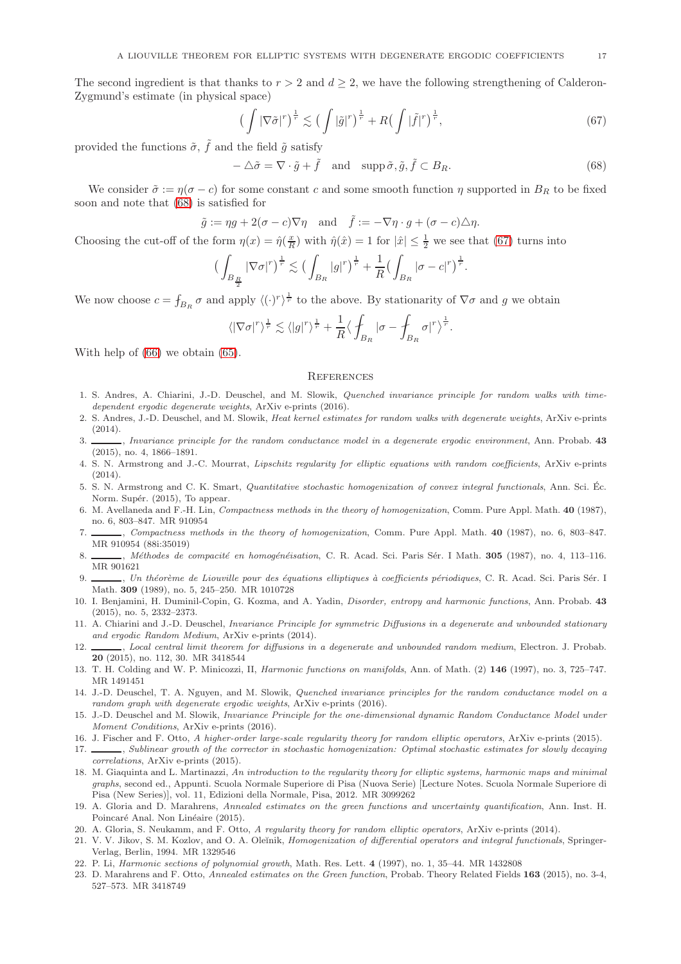The second ingredient is that thanks to  $r > 2$  and  $d > 2$ , we have the following strengthening of Calderon-Zygmund's estimate (in physical space)

<span id="page-16-24"></span>
$$
\left(\int |\nabla \tilde{\sigma}|^r\right)^{\frac{1}{r}} \lesssim \left(\int |\tilde{g}|^r\right)^{\frac{1}{r}} + R\left(\int |\tilde{f}|^r\right)^{\frac{1}{r}},\tag{67}
$$

provided the functions  $\tilde{\sigma}$ ,  $\tilde{f}$  and the field  $\tilde{g}$  satisfy

<span id="page-16-23"></span> $-\Delta \tilde{\sigma} = \nabla \cdot \tilde{g} + \tilde{f}$  and  $\text{supp }\tilde{\sigma}, \tilde{g}, \tilde{f} \subset B_R.$  (68)

.

We consider  $\tilde{\sigma} := \eta(\sigma - c)$  for some constant c and some smooth function  $\eta$  supported in  $B_R$  to be fixed soon and note that [\(68\)](#page-16-23) is satisfied for

$$
\tilde{g} := \eta g + 2(\sigma - c)\nabla \eta
$$
 and  $\tilde{f} := -\nabla \eta \cdot g + (\sigma - c)\Delta \eta$ .

Choosing the cut-off of the form  $\eta(x) = \hat{\eta}(\frac{x}{R})$  with  $\hat{\eta}(\hat{x}) = 1$  for  $|\hat{x}| \leq \frac{1}{2}$  we see that [\(67\)](#page-16-24) turns into

$$
\left(\int_{B_{\frac{R}{2}}} |\nabla \sigma|^r\right)^{\frac{1}{r}} \lesssim \left(\int_{B_R} |g|^r\right)^{\frac{1}{r}} + \frac{1}{R} \left(\int_{B_R} |\sigma - c|^r\right)^{\frac{1}{r}}
$$

We now choose  $c = f_{B_R} \sigma$  and apply  $\langle (\cdot)^r \rangle^{\frac{1}{r}}$  to the above. By stationarity of  $\nabla \sigma$  and g we obtain

$$
\langle |\nabla \sigma|^r \rangle^{\frac{1}{r}} \lesssim \langle |g|^r \rangle^{\frac{1}{r}} + \frac{1}{R} \langle \int_{B_R} |\sigma - \int_{B_R} \sigma|^r \rangle^{\frac{1}{r}}.
$$

With help of [\(66\)](#page-15-4) we obtain [\(65\)](#page-15-5).

#### **REFERENCES**

- <span id="page-16-5"></span>1. S. Andres, A. Chiarini, J.-D. Deuschel, and M. Slowik, Quenched invariance principle for random walks with timedependent ergodic degenerate weights, ArXiv e-prints (2016).
- <span id="page-16-4"></span>2. S. Andres, J.-D. Deuschel, and M. Slowik, Heat kernel estimates for random walks with degenerate weights, ArXiv e-prints (2014).
- <span id="page-16-3"></span>3.  $\_\_\_\_\$ n Invariance principle for the random conductance model in a degenerate ergodic environment, Ann. Probab. 43 (2015), no. 4, 1866–1891.
- <span id="page-16-18"></span>4. S. N. Armstrong and J.-C. Mourrat, Lipschitz regularity for elliptic equations with random coefficients, ArXiv e-prints (2014).
- <span id="page-16-16"></span>5. S. N. Armstrong and C. K. Smart, Quantitative stochastic homogenization of convex integral functionals, Ann. Sci. Ec. ´ Norm. Supér. (2015). To appear.
- <span id="page-16-12"></span>6. M. Avellaneda and F.-H. Lin, Compactness methods in the theory of homogenization, Comm. Pure Appl. Math. 40 (1987), no. 6, 803–847. MR 910954
- <span id="page-16-17"></span>7. , Compactness methods in the theory of homogenization, Comm. Pure Appl. Math. 40 (1987), no. 6, 803–847. MR 910954 (88i:35019)
- <span id="page-16-13"></span>8. , Méthodes de compacité en homogénéisation, C. R. Acad. Sci. Paris Sér. I Math. 305 (1987), no. 4, 113-116. MR 901621
- <span id="page-16-11"></span>9.  $\_\_\_\,,$  Un théorème de Liouville pour des équations elliptiques à coefficients périodiques, C. R. Acad. Sci. Paris Sér. I Math. 309 (1989), no. 5, 245–250. MR 1010728
- <span id="page-16-15"></span>10. I. Benjamini, H. Duminil-Copin, G. Kozma, and A. Yadin, *Disorder, entropy and harmonic functions*, Ann. Probab. 43 (2015), no. 5, 2332–2373.
- <span id="page-16-0"></span>11. A. Chiarini and J.-D. Deuschel, Invariance Principle for symmetric Diffusions in a degenerate and unbounded stationary and ergodic Random Medium, ArXiv e-prints (2014).
- <span id="page-16-2"></span>12. Local central limit theorem for diffusions in a degenerate and unbounded random medium, Electron. J. Probab. 20 (2015), no. 112, 30. MR 3418544
- <span id="page-16-20"></span><span id="page-16-9"></span>13. T. H. Colding and W. P. Minicozzi, II, Harmonic functions on manifolds, Ann. of Math. (2) 146 (1997), no. 3, 725–747. MR 1491451
- 14. J.-D. Deuschel, T. A. Nguyen, and M. Slowik, Quenched invariance principles for the random conductance model on a random graph with degenerate ergodic weights, ArXiv e-prints (2016).
- <span id="page-16-6"></span>15. J.-D. Deuschel and M. Slowik, Invariance Principle for the one-dimensional dynamic Random Conductance Model under Moment Conditions, ArXiv e-prints (2016).
- <span id="page-16-19"></span><span id="page-16-8"></span>16. J. Fischer and F. Otto, A higher-order large-scale regularity theory for random elliptic operators, ArXiv e-prints (2015).
- 17. Sublinear growth of the corrector in stochastic homogenization: Optimal stochastic estimates for slowly decaying correlations, ArXiv e-prints (2015).
- <span id="page-16-7"></span>18. M. Giaquinta and L. Martinazzi, An introduction to the regularity theory for elliptic systems, harmonic maps and minimal graphs, second ed., Appunti. Scuola Normale Superiore di Pisa (Nuova Serie) [Lecture Notes. Scuola Normale Superiore di Pisa (New Series)], vol. 11, Edizioni della Normale, Pisa, 2012. MR 3099262
- <span id="page-16-21"></span>19. A. Gloria and D. Marahrens, Annealed estimates on the green functions and uncertainty quantification, Ann. Inst. H. Poincaré Anal. Non Linéaire (2015).
- <span id="page-16-22"></span><span id="page-16-1"></span>20. A. Gloria, S. Neukamm, and F. Otto, A regularity theory for random elliptic operators, ArXiv e-prints (2014).
- 21. V. V. Jikov, S. M. Kozlov, and O. A. Oleĭnik, Homogenization of differential operators and integral functionals, Springer-Verlag, Berlin, 1994. MR 1329546
- <span id="page-16-14"></span><span id="page-16-10"></span>22. P. Li, Harmonic sections of polynomial growth, Math. Res. Lett. 4 (1997), no. 1, 35–44. MR 1432808
- 23. D. Marahrens and F. Otto, Annealed estimates on the Green function, Probab. Theory Related Fields 163 (2015), no. 3-4, 527–573. MR 3418749